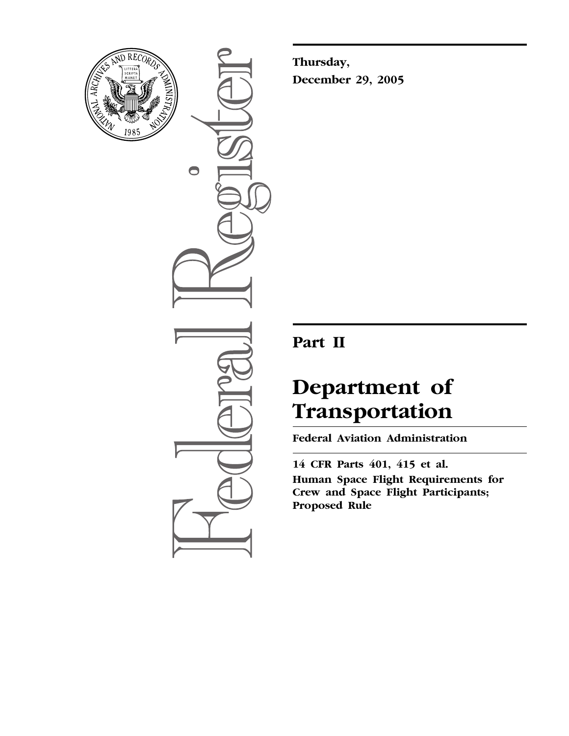

 $\bullet$ 

**Thursday, December 29, 2005** 

# **Part II**

# **Department of Transportation**

**Federal Aviation Administration** 

**14 CFR Parts 401, 415 et al. Human Space Flight Requirements for Crew and Space Flight Participants; Proposed Rule**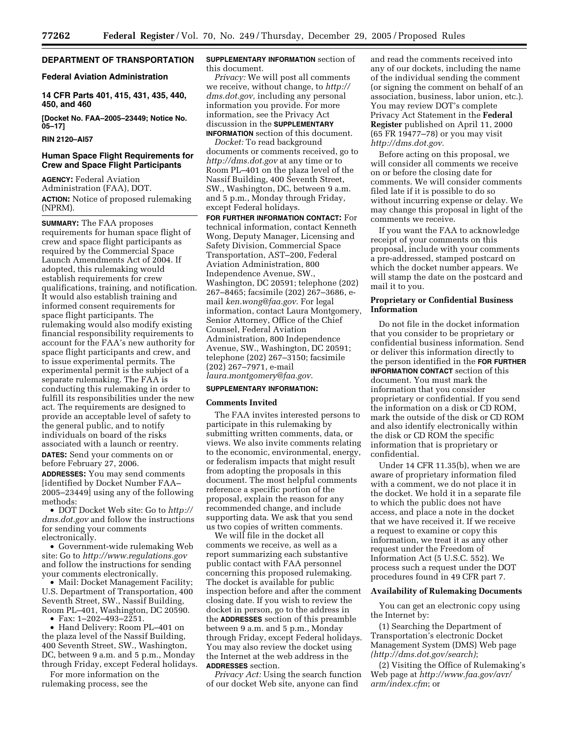### **DEPARTMENT OF TRANSPORTATION**

### **Federal Aviation Administration**

**14 CFR Parts 401, 415, 431, 435, 440, 450, and 460** 

**[Docket No. FAA–2005–23449; Notice No. 05–17]** 

### **RIN 2120–AI57**

### **Human Space Flight Requirements for Crew and Space Flight Participants**

**AGENCY:** Federal Aviation Administration (FAA), DOT. **ACTION:** Notice of proposed rulemaking (NPRM).

**SUMMARY:** The FAA proposes requirements for human space flight of crew and space flight participants as required by the Commercial Space Launch Amendments Act of 2004. If adopted, this rulemaking would establish requirements for crew qualifications, training, and notification. It would also establish training and informed consent requirements for space flight participants. The rulemaking would also modify existing financial responsibility requirements to account for the FAA's new authority for space flight participants and crew, and to issue experimental permits. The experimental permit is the subject of a separate rulemaking. The FAA is conducting this rulemaking in order to fulfill its responsibilities under the new act. The requirements are designed to provide an acceptable level of safety to the general public, and to notify individuals on board of the risks associated with a launch or reentry.

**DATES:** Send your comments on or before February 27, 2006.

**ADDRESSES:** You may send comments [identified by Docket Number FAA– 2005–23449] using any of the following methods:

• DOT Docket Web site: Go to *[http://](http://dms.dot.gov)  [dms.dot.gov](http://dms.dot.gov)* and follow the instructions for sending your comments electronically.

• Government-wide rulemaking Web site: Go to *<http://www.regulations.gov>* and follow the instructions for sending your comments electronically.

• Mail: Docket Management Facility; U.S. Department of Transportation, 400 Seventh Street, SW., Nassif Building, Room PL–401, Washington, DC 20590.

• Fax:  $1 - 202 - 493 - 2251$ .

• Hand Delivery: Room PL–401 on the plaza level of the Nassif Building, 400 Seventh Street, SW., Washington, DC, between 9 a.m. and 5 p.m., Monday through Friday, except Federal holidays.

For more information on the rulemaking process, see the

### **SUPPLEMENTARY INFORMATION** section of this document.

*Privacy:* We will post all comments we receive, without change, to *[http://](http://dms.dot.gov)  [dms.dot.gov,](http://dms.dot.gov)* including any personal information you provide. For more information, see the Privacy Act discussion in the **SUPPLEMENTARY INFORMATION** section of this document.

*Docket:* To read background

documents or comments received, go to *<http://dms.dot.gov>*at any time or to Room PL–401 on the plaza level of the Nassif Building, 400 Seventh Street, SW., Washington, DC, between 9 a.m. and 5 p.m., Monday through Friday, except Federal holidays.

**FOR FURTHER INFORMATION CONTACT:** For technical information, contact Kenneth Wong, Deputy Manager, Licensing and Safety Division, Commercial Space Transportation, AST–200, Federal Aviation Administration, 800 Independence Avenue, SW., Washington, DC 20591; telephone (202) 267–8465; facsimile (202) 267–3686, email *[ken.wong@faa.gov.](mailto:ken.wong@faa.gov)* For legal information, contact Laura Montgomery, Senior Attorney, Office of the Chief Counsel, Federal Aviation Administration, 800 Independence Avenue, SW., Washington, DC 20591; telephone (202) 267–3150; facsimile (202) 267–7971, e-mail *[laura.montgomery@faa.gov.](mailto:laura.montgomery@faa.gov)* 

#### **SUPPLEMENTARY INFORMATION:**

#### **Comments Invited**

The FAA invites interested persons to participate in this rulemaking by submitting written comments, data, or views. We also invite comments relating to the economic, environmental, energy, or federalism impacts that might result from adopting the proposals in this document. The most helpful comments reference a specific portion of the proposal, explain the reason for any recommended change, and include supporting data. We ask that you send us two copies of written comments.

We will file in the docket all comments we receive, as well as a report summarizing each substantive public contact with FAA personnel concerning this proposed rulemaking. The docket is available for public inspection before and after the comment closing date. If you wish to review the docket in person, go to the address in the **ADDRESSES** section of this preamble between 9 a.m. and 5 p.m., Monday through Friday, except Federal holidays. You may also review the docket using the Internet at the web address in the **ADDRESSES** section.

*Privacy Act:* Using the search function of our docket Web site, anyone can find

and read the comments received into any of our dockets, including the name of the individual sending the comment (or signing the comment on behalf of an association, business, labor union, etc.). You may review DOT's complete Privacy Act Statement in the **Federal Register** published on April 11, 2000 (65 FR 19477–78) or you may visit *[http://dms.dot.gov.](http://dms.dot.gov)* 

Before acting on this proposal, we will consider all comments we receive on or before the closing date for comments. We will consider comments filed late if it is possible to do so without incurring expense or delay. We may change this proposal in light of the comments we receive.

If you want the FAA to acknowledge receipt of your comments on this proposal, include with your comments a pre-addressed, stamped postcard on which the docket number appears. We will stamp the date on the postcard and mail it to you.

### **Proprietary or Confidential Business Information**

Do not file in the docket information that you consider to be proprietary or confidential business information. Send or deliver this information directly to the person identified in the **FOR FURTHER INFORMATION CONTACT** section of this document. You must mark the information that you consider proprietary or confidential. If you send the information on a disk or CD ROM, mark the outside of the disk or CD ROM and also identify electronically within the disk or CD ROM the specific information that is proprietary or confidential.

Under 14 CFR 11.35(b), when we are aware of proprietary information filed with a comment, we do not place it in the docket. We hold it in a separate file to which the public does not have access, and place a note in the docket that we have received it. If we receive a request to examine or copy this information, we treat it as any other request under the Freedom of Information Act (5 U.S.C. 552). We process such a request under the DOT procedures found in 49 CFR part 7.

### **Availability of Rulemaking Documents**

You can get an electronic copy using the Internet by:

(1) Searching the Department of Transportation's electronic Docket Management System (DMS) Web page *(<http://dms.dot.gov/search>)*;

(2) Visiting the Office of Rulemaking's Web page at *[http://www.faa.gov/avr/](http://www.faa.gov/avr/arm/index.cfm)  arm/index.cfm*; or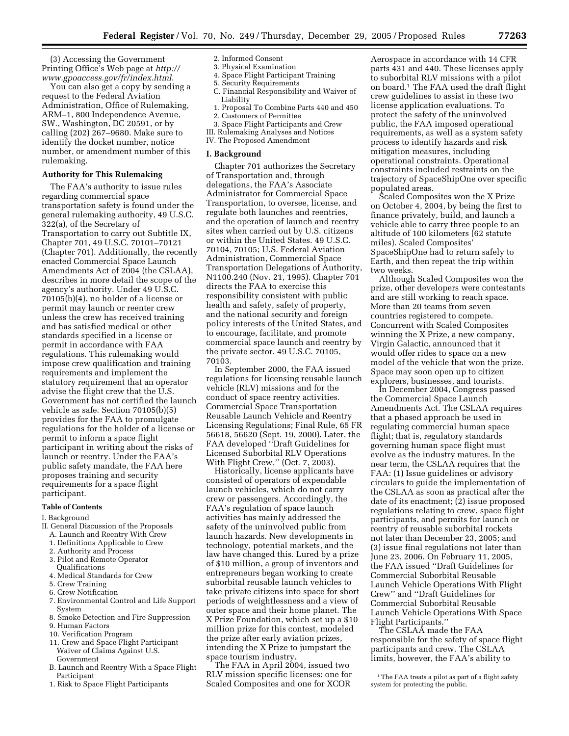(3) Accessing the Government Printing Office's Web page at *[http://](http://www.gpoaccess.gov/fr/index.html)  [www.gpoaccess.gov/fr/index.html](http://www.gpoaccess.gov/fr/index.html)*.

You can also get a copy by sending a request to the Federal Aviation Administration, Office of Rulemaking, ARM–1, 800 Independence Avenue, SW., Washington, DC 20591, or by calling (202) 267–9680. Make sure to identify the docket number, notice number, or amendment number of this rulemaking.

### **Authority for This Rulemaking**

The FAA's authority to issue rules regarding commercial space transportation safety is found under the general rulemaking authority, 49 U.S.C. 322(a), of the Secretary of Transportation to carry out Subtitle IX, Chapter 701, 49 U.S.C. 70101–70121 (Chapter 701). Additionally, the recently enacted Commercial Space Launch Amendments Act of 2004 (the CSLAA), describes in more detail the scope of the agency's authority. Under 49 U.S.C. 70105(b)(4), no holder of a license or permit may launch or reenter crew unless the crew has received training and has satisfied medical or other standards specified in a license or permit in accordance with FAA regulations. This rulemaking would impose crew qualification and training requirements and implement the statutory requirement that an operator advise the flight crew that the U.S. Government has not certified the launch vehicle as safe. Section 70105(b)(5) provides for the FAA to promulgate regulations for the holder of a license or permit to inform a space flight participant in writing about the risks of launch or reentry. Under the FAA's public safety mandate, the FAA here proposes training and security requirements for a space flight participant.

#### **Table of Contents**

I. Background

- II. General Discussion of the Proposals
	- A. Launch and Reentry With Crew
	- 1. Definitions Applicable to Crew
	- 2. Authority and Process
	- 3. Pilot and Remote Operator
	- Qualifications
	- 4. Medical Standards for Crew
	- 5. Crew Training
	- 6. Crew Notification
	- 7. Environmental Control and Life Support System
	- 8. Smoke Detection and Fire Suppression
	- 9. Human Factors
	- 10. Verification Program
	- 11. Crew and Space Flight Participant Waiver of Claims Against U.S. Government
	- B. Launch and Reentry With a Space Flight Participant
	- 1. Risk to Space Flight Participants
- 2. Informed Consent
- 3. Physical Examination
- 4. Space Flight Participant Training
- 5. Security Requirements
- C. Financial Responsibility and Waiver of Liability
- 1. Proposal To Combine Parts 440 and 450 2. Customers of Permittee
- 
- 3. Space Flight Participants and Crew III. Rulemaking Analyses and Notices
- IV. The Proposed Amendment

#### **I. Background**

Chapter 701 authorizes the Secretary of Transportation and, through delegations, the FAA's Associate Administrator for Commercial Space Transportation, to oversee, license, and regulate both launches and reentries, and the operation of launch and reentry sites when carried out by U.S. citizens or within the United States. 49 U.S.C. 70104, 70105; U.S. Federal Aviation Administration, Commercial Space Transportation Delegations of Authority, N1100.240 (Nov. 21, 1995). Chapter 701 directs the FAA to exercise this responsibility consistent with public health and safety, safety of property, and the national security and foreign policy interests of the United States, and to encourage, facilitate, and promote commercial space launch and reentry by the private sector. 49 U.S.C. 70105, 70103.

In September 2000, the FAA issued regulations for licensing reusable launch vehicle (RLV) missions and for the conduct of space reentry activities. Commercial Space Transportation Reusable Launch Vehicle and Reentry Licensing Regulations; Final Rule, 65 FR 56618, 56620 (Sept. 19, 2000). Later, the FAA developed ''Draft Guidelines for Licensed Suborbital RLV Operations With Flight Crew," (Oct. 7, 2003).

Historically, license applicants have consisted of operators of expendable launch vehicles, which do not carry crew or passengers. Accordingly, the FAA's regulation of space launch activities has mainly addressed the safety of the uninvolved public from launch hazards. New developments in technology, potential markets, and the law have changed this. Lured by a prize of \$10 million, a group of inventors and entrepreneurs began working to create suborbital reusable launch vehicles to take private citizens into space for short periods of weightlessness and a view of outer space and their home planet. The X Prize Foundation, which set up a \$10 million prize for this contest, modeled the prize after early aviation prizes, intending the X Prize to jumpstart the space tourism industry.

The FAA in April 2004, issued two RLV mission specific licenses: one for Scaled Composites and one for XCOR

Aerospace in accordance with 14 CFR parts 431 and 440. These licenses apply to suborbital RLV missions with a pilot on board.1 The FAA used the draft flight crew guidelines to assist in these two license application evaluations. To protect the safety of the uninvolved public, the FAA imposed operational requirements, as well as a system safety process to identify hazards and risk mitigation measures, including operational constraints. Operational constraints included restraints on the trajectory of SpaceShipOne over specific populated areas.

Scaled Composites won the X Prize on October 4, 2004, by being the first to finance privately, build, and launch a vehicle able to carry three people to an altitude of 100 kilometers (62 statute miles). Scaled Composites' SpaceShipOne had to return safely to Earth, and then repeat the trip within two weeks.

Although Scaled Composites won the prize, other developers were contestants and are still working to reach space. More than 20 teams from seven countries registered to compete. Concurrent with Scaled Composites winning the X Prize, a new company, Virgin Galactic, announced that it would offer rides to space on a new model of the vehicle that won the prize. Space may soon open up to citizen explorers, businesses, and tourists.

In December 2004, Congress passed the Commercial Space Launch Amendments Act. The CSLAA requires that a phased approach be used in regulating commercial human space flight; that is, regulatory standards governing human space flight must evolve as the industry matures. In the near term, the CSLAA requires that the FAA: (1) Issue guidelines or advisory circulars to guide the implementation of the CSLAA as soon as practical after the date of its enactment; (2) issue proposed regulations relating to crew, space flight participants, and permits for launch or reentry of reusable suborbital rockets not later than December 23, 2005; and (3) issue final regulations not later than June 23, 2006. On February 11, 2005, the FAA issued ''Draft Guidelines for Commercial Suborbital Reusable Launch Vehicle Operations With Flight Crew'' and ''Draft Guidelines for Commercial Suborbital Reusable Launch Vehicle Operations With Space Flight Participants.''

The CSLAA made the FAA responsible for the safety of space flight participants and crew. The CSLAA limits, however, the FAA's ability to

<sup>&</sup>lt;sup>1</sup>The FAA treats a pilot as part of a flight safety system for protecting the public.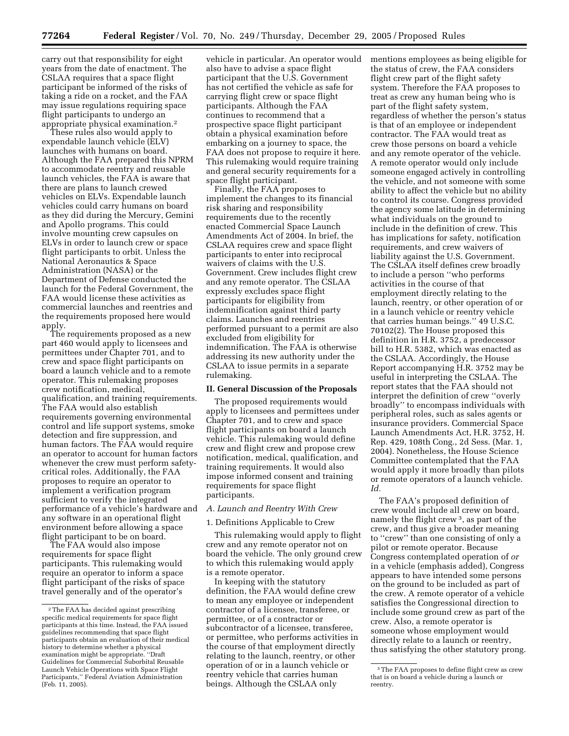carry out that responsibility for eight years from the date of enactment. The CSLAA requires that a space flight participant be informed of the risks of taking a ride on a rocket, and the FAA may issue regulations requiring space flight participants to undergo an appropriate physical examination.2

These rules also would apply to expendable launch vehicle (ELV) launches with humans on board. Although the FAA prepared this NPRM to accommodate reentry and reusable launch vehicles, the FAA is aware that there are plans to launch crewed vehicles on ELVs. Expendable launch vehicles could carry humans on board as they did during the Mercury, Gemini and Apollo programs. This could involve mounting crew capsules on ELVs in order to launch crew or space flight participants to orbit. Unless the National Aeronautics & Space Administration (NASA) or the Department of Defense conducted the launch for the Federal Government, the FAA would license these activities as commercial launches and reentries and the requirements proposed here would apply.

The requirements proposed as a new part 460 would apply to licensees and permittees under Chapter 701, and to crew and space flight participants on board a launch vehicle and to a remote operator. This rulemaking proposes crew notification, medical, qualification, and training requirements. The FAA would also establish requirements governing environmental control and life support systems, smoke detection and fire suppression, and human factors. The FAA would require an operator to account for human factors whenever the crew must perform safetycritical roles. Additionally, the FAA proposes to require an operator to implement a verification program sufficient to verify the integrated performance of a vehicle's hardware and any software in an operational flight environment before allowing a space flight participant to be on board.

The FAA would also impose requirements for space flight participants. This rulemaking would require an operator to inform a space flight participant of the risks of space travel generally and of the operator's

vehicle in particular. An operator would also have to advise a space flight participant that the U.S. Government has not certified the vehicle as safe for carrying flight crew or space flight participants. Although the FAA continues to recommend that a prospective space flight participant obtain a physical examination before embarking on a journey to space, the FAA does not propose to require it here. This rulemaking would require training and general security requirements for a space flight participant.

Finally, the FAA proposes to implement the changes to its financial risk sharing and responsibility requirements due to the recently enacted Commercial Space Launch Amendments Act of 2004. In brief, the CSLAA requires crew and space flight participants to enter into reciprocal waivers of claims with the U.S. Government. Crew includes flight crew and any remote operator. The CSLAA expressly excludes space flight participants for eligibility from indemnification against third party claims. Launches and reentries performed pursuant to a permit are also excluded from eligibility for indemnification. The FAA is otherwise addressing its new authority under the CSLAA to issue permits in a separate rulemaking.

#### **II. General Discussion of the Proposals**

The proposed requirements would apply to licensees and permittees under Chapter 701, and to crew and space flight participants on board a launch vehicle. This rulemaking would define crew and flight crew and propose crew notification, medical, qualification, and training requirements. It would also impose informed consent and training requirements for space flight participants.

### *A. Launch and Reentry With Crew*

#### 1. Definitions Applicable to Crew

This rulemaking would apply to flight crew and any remote operator not on board the vehicle. The only ground crew to which this rulemaking would apply is a remote operator.

In keeping with the statutory definition, the FAA would define crew to mean any employee or independent contractor of a licensee, transferee, or permittee, or of a contractor or subcontractor of a licensee, transferee, or permittee, who performs activities in the course of that employment directly relating to the launch, reentry, or other operation of or in a launch vehicle or reentry vehicle that carries human beings. Although the CSLAA only

mentions employees as being eligible for the status of crew, the FAA considers flight crew part of the flight safety system. Therefore the FAA proposes to treat as crew any human being who is part of the flight safety system, regardless of whether the person's status is that of an employee or independent contractor. The FAA would treat as crew those persons on board a vehicle and any remote operator of the vehicle. A remote operator would only include someone engaged actively in controlling the vehicle, and not someone with some ability to affect the vehicle but no ability to control its course. Congress provided the agency some latitude in determining what individuals on the ground to include in the definition of crew. This has implications for safety, notification requirements, and crew waivers of liability against the U.S. Government. The CSLAA itself defines crew broadly to include a person ''who performs activities in the course of that employment directly relating to the launch, reentry, or other operation of or in a launch vehicle or reentry vehicle that carries human beings.'' 49 U.S.C. 70102(2). The House proposed this definition in H.R. 3752, a predecessor bill to H.R. 5382, which was enacted as the CSLAA. Accordingly, the House Report accompanying H.R. 3752 may be useful in interpreting the CSLAA. The report states that the FAA should not interpret the definition of crew ''overly broadly'' to encompass individuals with peripheral roles, such as sales agents or insurance providers. Commercial Space Launch Amendments Act, H.R. 3752, H. Rep. 429, 108th Cong., 2d Sess. (Mar. 1, 2004). Nonetheless, the House Science Committee contemplated that the FAA would apply it more broadly than pilots or remote operators of a launch vehicle. *Id.* 

The FAA's proposed definition of crew would include all crew on board, namely the flight crew 3, as part of the crew, and thus give a broader meaning to ''crew'' than one consisting of only a pilot or remote operator. Because Congress contemplated operation of *or*  in a vehicle (emphasis added), Congress appears to have intended some persons on the ground to be included as part of the crew. A remote operator of a vehicle satisfies the Congressional direction to include some ground crew as part of the crew. Also, a remote operator is someone whose employment would directly relate to a launch or reentry, thus satisfying the other statutory prong.

<sup>2</sup>The FAA has decided against prescribing specific medical requirements for space flight participants at this time. Instead, the FAA issued guidelines recommending that space flight participants obtain an evaluation of their medical history to determine whether a physical examination might be appropriate. ''Draft Guidelines for Commercial Suborbital Reusable Launch Vehicle Operations with Space Flight Participants,'' Federal Aviation Administration (Feb. 11, 2005).

<sup>3</sup>The FAA proposes to define flight crew as crew that is on board a vehicle during a launch or reentry.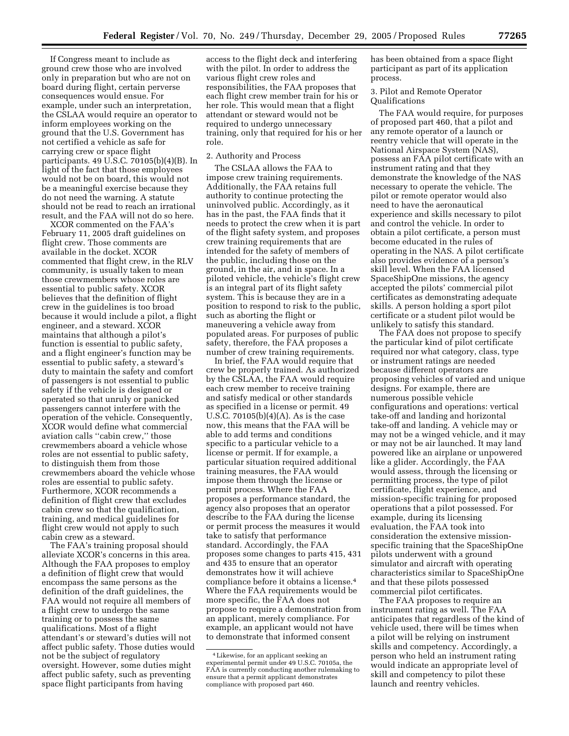If Congress meant to include as ground crew those who are involved only in preparation but who are not on board during flight, certain perverse consequences would ensue. For example, under such an interpretation, the CSLAA would require an operator to inform employees working on the ground that the U.S. Government has not certified a vehicle as safe for carrying crew or space flight participants. 49 U.S.C. 70105(b)(4)(B). In light of the fact that those employees would not be on board, this would not be a meaningful exercise because they do not need the warning. A statute should not be read to reach an irrational result, and the FAA will not do so here.

XCOR commented on the FAA's February 11, 2005 draft guidelines on flight crew. Those comments are available in the docket. XCOR commented that flight crew, in the RLV community, is usually taken to mean those crewmembers whose roles are essential to public safety. XCOR believes that the definition of flight crew in the guidelines is too broad because it would include a pilot, a flight engineer, and a steward. XCOR maintains that although a pilot's function is essential to public safety, and a flight engineer's function may be essential to public safety, a steward's duty to maintain the safety and comfort of passengers is not essential to public safety if the vehicle is designed or operated so that unruly or panicked passengers cannot interfere with the operation of the vehicle. Consequently, XCOR would define what commercial aviation calls ''cabin crew,'' those crewmembers aboard a vehicle whose roles are not essential to public safety, to distinguish them from those crewmembers aboard the vehicle whose roles are essential to public safety. Furthermore, XCOR recommends a definition of flight crew that excludes cabin crew so that the qualification, training, and medical guidelines for flight crew would not apply to such cabin crew as a steward.

The FAA's training proposal should alleviate XCOR's concerns in this area. Although the FAA proposes to employ a definition of flight crew that would encompass the same persons as the definition of the draft guidelines, the FAA would not require all members of a flight crew to undergo the same training or to possess the same qualifications. Most of a flight attendant's or steward's duties will not affect public safety. Those duties would not be the subject of regulatory oversight. However, some duties might affect public safety, such as preventing space flight participants from having

access to the flight deck and interfering with the pilot. In order to address the various flight crew roles and responsibilities, the FAA proposes that each flight crew member train for his or her role. This would mean that a flight attendant or steward would not be required to undergo unnecessary training, only that required for his or her role.

#### 2. Authority and Process

The CSLAA allows the FAA to impose crew training requirements. Additionally, the FAA retains full authority to continue protecting the uninvolved public. Accordingly, as it has in the past, the FAA finds that it needs to protect the crew when it is part of the flight safety system, and proposes crew training requirements that are intended for the safety of members of the public, including those on the ground, in the air, and in space. In a piloted vehicle, the vehicle's flight crew is an integral part of its flight safety system. This is because they are in a position to respond to risk to the public, such as aborting the flight or maneuvering a vehicle away from populated areas. For purposes of public safety, therefore, the FAA proposes a number of crew training requirements.

In brief, the FAA would require that crew be properly trained. As authorized by the CSLAA, the FAA would require each crew member to receive training and satisfy medical or other standards as specified in a license or permit. 49 U.S.C. 70105(b)(4)(A). As is the case now, this means that the FAA will be able to add terms and conditions specific to a particular vehicle to a license or permit. If for example, a particular situation required additional training measures, the FAA would impose them through the license or permit process. Where the FAA proposes a performance standard, the agency also proposes that an operator describe to the FAA during the license or permit process the measures it would take to satisfy that performance standard. Accordingly, the FAA proposes some changes to parts 415, 431 and 435 to ensure that an operator demonstrates how it will achieve compliance before it obtains a license.4 Where the FAA requirements would be more specific, the FAA does not propose to require a demonstration from an applicant, merely compliance. For example, an applicant would not have to demonstrate that informed consent

has been obtained from a space flight participant as part of its application process.

3. Pilot and Remote Operator Qualifications

The FAA would require, for purposes of proposed part 460, that a pilot and any remote operator of a launch or reentry vehicle that will operate in the National Airspace System (NAS), possess an FAA pilot certificate with an instrument rating and that they demonstrate the knowledge of the NAS necessary to operate the vehicle. The pilot or remote operator would also need to have the aeronautical experience and skills necessary to pilot and control the vehicle. In order to obtain a pilot certificate, a person must become educated in the rules of operating in the NAS. A pilot certificate also provides evidence of a person's skill level. When the FAA licensed SpaceShipOne missions, the agency accepted the pilots' commercial pilot certificates as demonstrating adequate skills. A person holding a sport pilot certificate or a student pilot would be unlikely to satisfy this standard.

The FAA does not propose to specify the particular kind of pilot certificate required nor what category, class, type or instrument ratings are needed because different operators are proposing vehicles of varied and unique designs. For example, there are numerous possible vehicle configurations and operations: vertical take-off and landing and horizontal take-off and landing. A vehicle may or may not be a winged vehicle, and it may or may not be air launched. It may land powered like an airplane or unpowered like a glider. Accordingly, the FAA would assess, through the licensing or permitting process, the type of pilot certificate, flight experience, and mission-specific training for proposed operations that a pilot possessed. For example, during its licensing evaluation, the FAA took into consideration the extensive missionspecific training that the SpaceShipOne pilots underwent with a ground simulator and aircraft with operating characteristics similar to SpaceShipOne and that these pilots possessed commercial pilot certificates.

The FAA proposes to require an instrument rating as well. The FAA anticipates that regardless of the kind of vehicle used, there will be times when a pilot will be relying on instrument skills and competency. Accordingly, a person who held an instrument rating would indicate an appropriate level of skill and competency to pilot these launch and reentry vehicles.

<sup>4</sup>Likewise, for an applicant seeking an experimental permit under 49 U.S.C. 70105a, the FAA is currently conducting another rulemaking to ensure that a permit applicant demonstrates compliance with proposed part 460.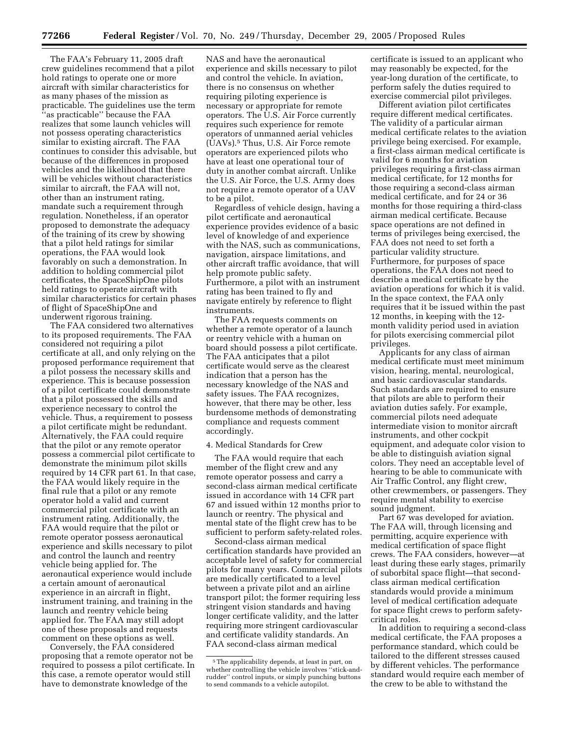The FAA's February 11, 2005 draft crew guidelines recommend that a pilot hold ratings to operate one or more aircraft with similar characteristics for as many phases of the mission as practicable. The guidelines use the term ''as practicable'' because the FAA realizes that some launch vehicles will not possess operating characteristics similar to existing aircraft. The FAA continues to consider this advisable, but because of the differences in proposed vehicles and the likelihood that there will be vehicles without characteristics similar to aircraft, the FAA will not, other than an instrument rating, mandate such a requirement through regulation. Nonetheless, if an operator proposed to demonstrate the adequacy of the training of its crew by showing that a pilot held ratings for similar operations, the FAA would look favorably on such a demonstration. In addition to holding commercial pilot certificates, the SpaceShipOne pilots held ratings to operate aircraft with similar characteristics for certain phases of flight of SpaceShipOne and underwent rigorous training.

The FAA considered two alternatives to its proposed requirements. The FAA considered not requiring a pilot certificate at all, and only relying on the proposed performance requirement that a pilot possess the necessary skills and experience. This is because possession of a pilot certificate could demonstrate that a pilot possessed the skills and experience necessary to control the vehicle. Thus, a requirement to possess a pilot certificate might be redundant. Alternatively, the FAA could require that the pilot or any remote operator possess a commercial pilot certificate to demonstrate the minimum pilot skills required by 14 CFR part 61. In that case, the FAA would likely require in the final rule that a pilot or any remote operator hold a valid and current commercial pilot certificate with an instrument rating. Additionally, the FAA would require that the pilot or remote operator possess aeronautical experience and skills necessary to pilot and control the launch and reentry vehicle being applied for. The aeronautical experience would include a certain amount of aeronautical experience in an aircraft in flight, instrument training, and training in the launch and reentry vehicle being applied for. The FAA may still adopt one of these proposals and requests comment on these options as well.

Conversely, the FAA considered proposing that a remote operator not be required to possess a pilot certificate. In this case, a remote operator would still have to demonstrate knowledge of the

NAS and have the aeronautical experience and skills necessary to pilot and control the vehicle. In aviation, there is no consensus on whether requiring piloting experience is necessary or appropriate for remote operators. The U.S. Air Force currently requires such experience for remote operators of unmanned aerial vehicles (UAVs).5 Thus, U.S. Air Force remote operators are experienced pilots who have at least one operational tour of duty in another combat aircraft. Unlike the U.S. Air Force, the U.S. Army does not require a remote operator of a UAV to be a pilot.

Regardless of vehicle design, having a pilot certificate and aeronautical experience provides evidence of a basic level of knowledge of and experience with the NAS, such as communications, navigation, airspace limitations, and other aircraft traffic avoidance, that will help promote public safety. Furthermore, a pilot with an instrument rating has been trained to fly and navigate entirely by reference to flight instruments.

The FAA requests comments on whether a remote operator of a launch or reentry vehicle with a human on board should possess a pilot certificate. The FAA anticipates that a pilot certificate would serve as the clearest indication that a person has the necessary knowledge of the NAS and safety issues. The FAA recognizes, however, that there may be other, less burdensome methods of demonstrating compliance and requests comment accordingly.

#### 4. Medical Standards for Crew

The FAA would require that each member of the flight crew and any remote operator possess and carry a second-class airman medical certificate issued in accordance with 14 CFR part 67 and issued within 12 months prior to launch or reentry. The physical and mental state of the flight crew has to be sufficient to perform safety-related roles.

Second-class airman medical certification standards have provided an acceptable level of safety for commercial pilots for many years. Commercial pilots are medically certificated to a level between a private pilot and an airline transport pilot; the former requiring less stringent vision standards and having longer certificate validity, and the latter requiring more stringent cardiovascular and certificate validity standards. An FAA second-class airman medical

certificate is issued to an applicant who may reasonably be expected, for the year-long duration of the certificate, to perform safely the duties required to exercise commercial pilot privileges.

Different aviation pilot certificates require different medical certificates. The validity of a particular airman medical certificate relates to the aviation privilege being exercised. For example, a first-class airman medical certificate is valid for 6 months for aviation privileges requiring a first-class airman medical certificate, for 12 months for those requiring a second-class airman medical certificate, and for 24 or 36 months for those requiring a third-class airman medical certificate. Because space operations are not defined in terms of privileges being exercised, the FAA does not need to set forth a particular validity structure. Furthermore, for purposes of space operations, the FAA does not need to describe a medical certificate by the aviation operations for which it is valid. In the space context, the FAA only requires that it be issued within the past 12 months, in keeping with the 12 month validity period used in aviation for pilots exercising commercial pilot privileges.

Applicants for any class of airman medical certificate must meet minimum vision, hearing, mental, neurological, and basic cardiovascular standards. Such standards are required to ensure that pilots are able to perform their aviation duties safely. For example, commercial pilots need adequate intermediate vision to monitor aircraft instruments, and other cockpit equipment, and adequate color vision to be able to distinguish aviation signal colors. They need an acceptable level of hearing to be able to communicate with Air Traffic Control, any flight crew, other crewmembers, or passengers. They require mental stability to exercise sound judgment.

Part 67 was developed for aviation. The FAA will, through licensing and permitting, acquire experience with medical certification of space flight crews. The FAA considers, however—at least during these early stages, primarily of suborbital space flight—that secondclass airman medical certification standards would provide a minimum level of medical certification adequate for space flight crews to perform safetycritical roles.

In addition to requiring a second-class medical certificate, the FAA proposes a performance standard, which could be tailored to the different stresses caused by different vehicles. The performance standard would require each member of the crew to be able to withstand the

<sup>5</sup>The applicability depends, at least in part, on whether controlling the vehicle involves ''stick-andrudder'' control inputs, or simply punching buttons to send commands to a vehicle autopilot.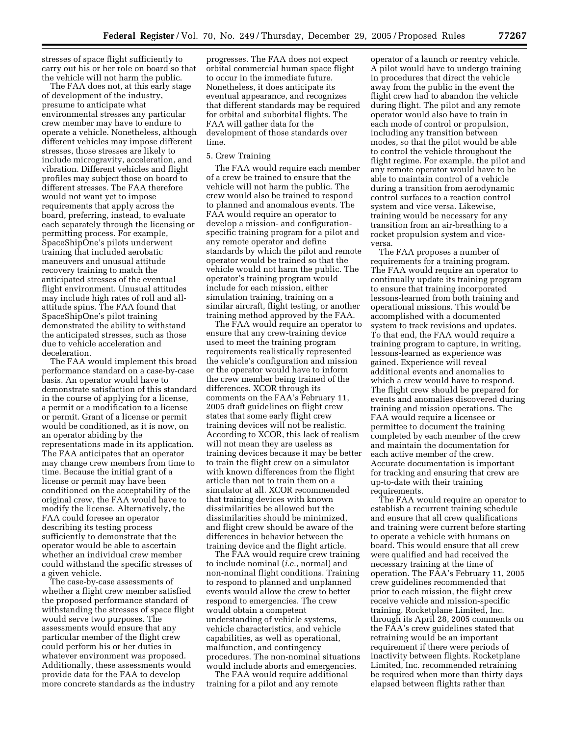stresses of space flight sufficiently to carry out his or her role on board so that the vehicle will not harm the public.

The FAA does not, at this early stage of development of the industry, presume to anticipate what environmental stresses any particular crew member may have to endure to operate a vehicle. Nonetheless, although different vehicles may impose different stresses, those stresses are likely to include microgravity, acceleration, and vibration. Different vehicles and flight profiles may subject those on board to different stresses. The FAA therefore would not want yet to impose requirements that apply across the board, preferring, instead, to evaluate each separately through the licensing or permitting process. For example, SpaceShipOne's pilots underwent training that included aerobatic maneuvers and unusual attitude recovery training to match the anticipated stresses of the eventual flight environment. Unusual attitudes may include high rates of roll and allattitude spins. The FAA found that SpaceShipOne's pilot training demonstrated the ability to withstand the anticipated stresses, such as those due to vehicle acceleration and deceleration.

The FAA would implement this broad performance standard on a case-by-case basis. An operator would have to demonstrate satisfaction of this standard in the course of applying for a license, a permit or a modification to a license or permit. Grant of a license or permit would be conditioned, as it is now, on an operator abiding by the representations made in its application. The FAA anticipates that an operator may change crew members from time to time. Because the initial grant of a license or permit may have been conditioned on the acceptability of the original crew, the FAA would have to modify the license. Alternatively, the FAA could foresee an operator describing its testing process sufficiently to demonstrate that the operator would be able to ascertain whether an individual crew member could withstand the specific stresses of a given vehicle.

The case-by-case assessments of whether a flight crew member satisfied the proposed performance standard of withstanding the stresses of space flight would serve two purposes. The assessments would ensure that any particular member of the flight crew could perform his or her duties in whatever environment was proposed. Additionally, these assessments would provide data for the FAA to develop more concrete standards as the industry

progresses. The FAA does not expect orbital commercial human space flight to occur in the immediate future. Nonetheless, it does anticipate its eventual appearance, and recognizes that different standards may be required for orbital and suborbital flights. The FAA will gather data for the development of those standards over time.

#### 5. Crew Training

The FAA would require each member of a crew be trained to ensure that the vehicle will not harm the public. The crew would also be trained to respond to planned and anomalous events. The FAA would require an operator to develop a mission- and configurationspecific training program for a pilot and any remote operator and define standards by which the pilot and remote operator would be trained so that the vehicle would not harm the public. The operator's training program would include for each mission, either simulation training, training on a similar aircraft, flight testing, or another training method approved by the FAA.

The FAA would require an operator to ensure that any crew-training device used to meet the training program requirements realistically represented the vehicle's configuration and mission or the operator would have to inform the crew member being trained of the differences. XCOR through its comments on the FAA's February 11, 2005 draft guidelines on flight crew states that some early flight crew training devices will not be realistic. According to XCOR, this lack of realism will not mean they are useless as training devices because it may be better to train the flight crew on a simulator with known differences from the flight article than not to train them on a simulator at all. XCOR recommended that training devices with known dissimilarities be allowed but the dissimilarities should be minimized, and flight crew should be aware of the differences in behavior between the training device and the flight article.

The FAA would require crew training to include nominal (*i.e.*, normal) and non-nominal flight conditions. Training to respond to planned and unplanned events would allow the crew to better respond to emergencies. The crew would obtain a competent understanding of vehicle systems, vehicle characteristics, and vehicle capabilities, as well as operational, malfunction, and contingency procedures. The non-nominal situations would include aborts and emergencies.

The FAA would require additional training for a pilot and any remote

operator of a launch or reentry vehicle. A pilot would have to undergo training in procedures that direct the vehicle away from the public in the event the flight crew had to abandon the vehicle during flight. The pilot and any remote operator would also have to train in each mode of control or propulsion, including any transition between modes, so that the pilot would be able to control the vehicle throughout the flight regime. For example, the pilot and any remote operator would have to be able to maintain control of a vehicle during a transition from aerodynamic control surfaces to a reaction control system and vice versa. Likewise, training would be necessary for any transition from an air-breathing to a rocket propulsion system and viceversa.

The FAA proposes a number of requirements for a training program. The FAA would require an operator to continually update its training program to ensure that training incorporated lessons-learned from both training and operational missions. This would be accomplished with a documented system to track revisions and updates. To that end, the FAA would require a training program to capture, in writing, lessons-learned as experience was gained. Experience will reveal additional events and anomalies to which a crew would have to respond. The flight crew should be prepared for events and anomalies discovered during training and mission operations. The FAA would require a licensee or permittee to document the training completed by each member of the crew and maintain the documentation for each active member of the crew. Accurate documentation is important for tracking and ensuring that crew are up-to-date with their training requirements.

The FAA would require an operator to establish a recurrent training schedule and ensure that all crew qualifications and training were current before starting to operate a vehicle with humans on board. This would ensure that all crew were qualified and had received the necessary training at the time of operation. The FAA's February 11, 2005 crew guidelines recommended that prior to each mission, the flight crew receive vehicle and mission-specific training. Rocketplane Limited, Inc. through its April 28, 2005 comments on the FAA's crew guidelines stated that retraining would be an important requirement if there were periods of inactivity between flights. Rocketplane Limited, Inc. recommended retraining be required when more than thirty days elapsed between flights rather than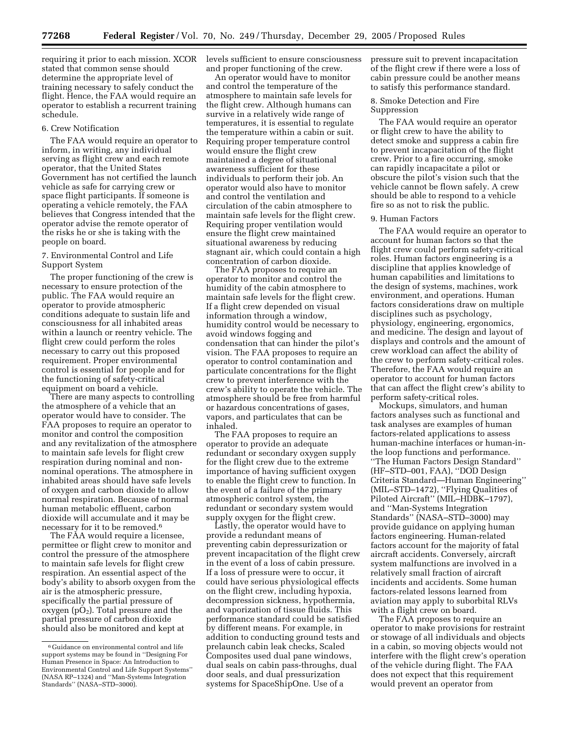requiring it prior to each mission. XCOR stated that common sense should determine the appropriate level of training necessary to safely conduct the flight. Hence, the FAA would require an operator to establish a recurrent training schedule.

### 6. Crew Notification

The FAA would require an operator to inform, in writing, any individual serving as flight crew and each remote operator, that the United States Government has not certified the launch vehicle as safe for carrying crew or space flight participants. If someone is operating a vehicle remotely, the FAA believes that Congress intended that the operator advise the remote operator of the risks he or she is taking with the people on board.

### 7. Environmental Control and Life Support System

The proper functioning of the crew is necessary to ensure protection of the public. The FAA would require an operator to provide atmospheric conditions adequate to sustain life and consciousness for all inhabited areas within a launch or reentry vehicle. The flight crew could perform the roles necessary to carry out this proposed requirement. Proper environmental control is essential for people and for the functioning of safety-critical equipment on board a vehicle.

There are many aspects to controlling the atmosphere of a vehicle that an operator would have to consider. The FAA proposes to require an operator to monitor and control the composition and any revitalization of the atmosphere to maintain safe levels for flight crew respiration during nominal and nonnominal operations. The atmosphere in inhabited areas should have safe levels of oxygen and carbon dioxide to allow normal respiration. Because of normal human metabolic effluent, carbon dioxide will accumulate and it may be necessary for it to be removed.6

The FAA would require a licensee, permittee or flight crew to monitor and control the pressure of the atmosphere to maintain safe levels for flight crew respiration. An essential aspect of the body's ability to absorb oxygen from the air is the atmospheric pressure, specifically the partial pressure of oxygen  $(pO_2)$ . Total pressure and the partial pressure of carbon dioxide should also be monitored and kept at

levels sufficient to ensure consciousness and proper functioning of the crew.

An operator would have to monitor and control the temperature of the atmosphere to maintain safe levels for the flight crew. Although humans can survive in a relatively wide range of temperatures, it is essential to regulate the temperature within a cabin or suit. Requiring proper temperature control would ensure the flight crew maintained a degree of situational awareness sufficient for these individuals to perform their job. An operator would also have to monitor and control the ventilation and circulation of the cabin atmosphere to maintain safe levels for the flight crew. Requiring proper ventilation would ensure the flight crew maintained situational awareness by reducing stagnant air, which could contain a high concentration of carbon dioxide.

The FAA proposes to require an operator to monitor and control the humidity of the cabin atmosphere to maintain safe levels for the flight crew. If a flight crew depended on visual information through a window, humidity control would be necessary to avoid windows fogging and condensation that can hinder the pilot's vision. The FAA proposes to require an operator to control contamination and particulate concentrations for the flight crew to prevent interference with the crew's ability to operate the vehicle. The atmosphere should be free from harmful or hazardous concentrations of gases, vapors, and particulates that can be inhaled.

The FAA proposes to require an operator to provide an adequate redundant or secondary oxygen supply for the flight crew due to the extreme importance of having sufficient oxygen to enable the flight crew to function. In the event of a failure of the primary atmospheric control system, the redundant or secondary system would supply oxygen for the flight crew.

Lastly, the operator would have to provide a redundant means of preventing cabin depressurization or prevent incapacitation of the flight crew in the event of a loss of cabin pressure. If a loss of pressure were to occur, it could have serious physiological effects on the flight crew, including hypoxia, decompression sickness, hypothermia, and vaporization of tissue fluids. This performance standard could be satisfied by different means. For example, in addition to conducting ground tests and prelaunch cabin leak checks, Scaled Composites used dual pane windows, dual seals on cabin pass-throughs, dual door seals, and dual pressurization systems for SpaceShipOne. Use of a

pressure suit to prevent incapacitation of the flight crew if there were a loss of cabin pressure could be another means to satisfy this performance standard.

8. Smoke Detection and Fire Suppression

The FAA would require an operator or flight crew to have the ability to detect smoke and suppress a cabin fire to prevent incapacitation of the flight crew. Prior to a fire occurring, smoke can rapidly incapacitate a pilot or obscure the pilot's vision such that the vehicle cannot be flown safely. A crew should be able to respond to a vehicle fire so as not to risk the public.

### 9. Human Factors

The FAA would require an operator to account for human factors so that the flight crew could perform safety-critical roles. Human factors engineering is a discipline that applies knowledge of human capabilities and limitations to the design of systems, machines, work environment, and operations. Human factors considerations draw on multiple disciplines such as psychology, physiology, engineering, ergonomics, and medicine. The design and layout of displays and controls and the amount of crew workload can affect the ability of the crew to perform safety-critical roles. Therefore, the FAA would require an operator to account for human factors that can affect the flight crew's ability to perform safety-critical roles.

Mockups, simulators, and human factors analyses such as functional and task analyses are examples of human factors-related applications to assess human-machine interfaces or human-inthe loop functions and performance. ''The Human Factors Design Standard'' (HF–STD–001, FAA), ''DOD Design Criteria Standard—Human Engineering'' (MIL–STD–1472), ''Flying Qualities of Piloted Aircraft'' (MIL–HDBK–1797), and ''Man-Systems Integration Standards'' (NASA–STD–3000) may provide guidance on applying human factors engineering. Human-related factors account for the majority of fatal aircraft accidents. Conversely, aircraft system malfunctions are involved in a relatively small fraction of aircraft incidents and accidents. Some human factors-related lessons learned from aviation may apply to suborbital RLVs with a flight crew on board.

The FAA proposes to require an operator to make provisions for restraint or stowage of all individuals and objects in a cabin, so moving objects would not interfere with the flight crew's operation of the vehicle during flight. The FAA does not expect that this requirement would prevent an operator from

<sup>6</sup> Guidance on environmental control and life support systems may be found in ''Designing For Human Presence in Space: An Introduction to Environmental Control and Life Support Systems'' (NASA RP–1324) and ''Man-Systems Integration Standards" (NASA-STD-3000).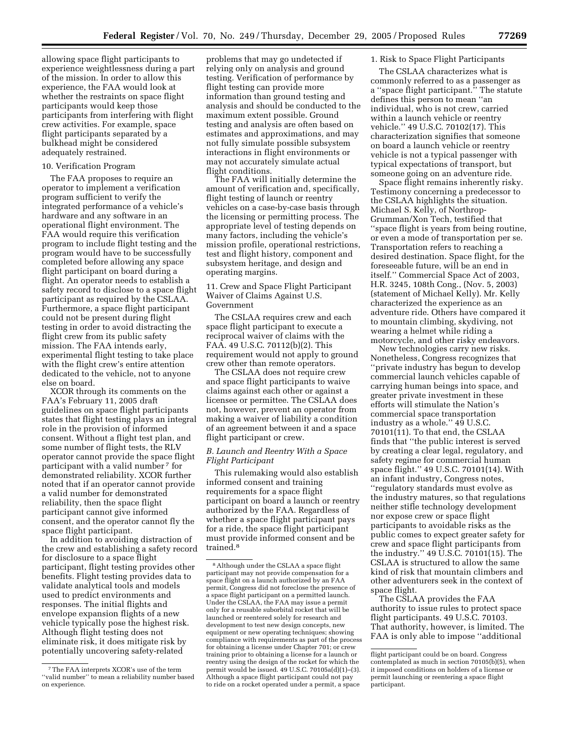allowing space flight participants to experience weightlessness during a part of the mission. In order to allow this experience, the FAA would look at whether the restraints on space flight participants would keep those participants from interfering with flight crew activities. For example, space flight participants separated by a bulkhead might be considered adequately restrained.

### 10. Verification Program

The FAA proposes to require an operator to implement a verification program sufficient to verify the integrated performance of a vehicle's hardware and any software in an operational flight environment. The FAA would require this verification program to include flight testing and the program would have to be successfully completed before allowing any space flight participant on board during a flight. An operator needs to establish a safety record to disclose to a space flight participant as required by the CSLAA. Furthermore, a space flight participant could not be present during flight testing in order to avoid distracting the flight crew from its public safety mission. The FAA intends early, experimental flight testing to take place with the flight crew's entire attention dedicated to the vehicle, not to anyone else on board.

XCOR through its comments on the FAA's February 11, 2005 draft guidelines on space flight participants states that flight testing plays an integral role in the provision of informed consent. Without a flight test plan, and some number of flight tests, the RLV operator cannot provide the space flight participant with a valid number 7 for demonstrated reliability. XCOR further noted that if an operator cannot provide a valid number for demonstrated reliability, then the space flight participant cannot give informed consent, and the operator cannot fly the space flight participant.

In addition to avoiding distraction of the crew and establishing a safety record for disclosure to a space flight participant, flight testing provides other benefits. Flight testing provides data to validate analytical tools and models used to predict environments and responses. The initial flights and envelope expansion flights of a new vehicle typically pose the highest risk. Although flight testing does not eliminate risk, it does mitigate risk by potentially uncovering safety-related

problems that may go undetected if relying only on analysis and ground testing. Verification of performance by flight testing can provide more information than ground testing and analysis and should be conducted to the maximum extent possible. Ground testing and analysis are often based on estimates and approximations, and may not fully simulate possible subsystem interactions in flight environments or may not accurately simulate actual flight conditions.

The FAA will initially determine the amount of verification and, specifically, flight testing of launch or reentry vehicles on a case-by-case basis through the licensing or permitting process. The appropriate level of testing depends on many factors, including the vehicle's mission profile, operational restrictions, test and flight history, component and subsystem heritage, and design and operating margins.

11. Crew and Space Flight Participant Waiver of Claims Against U.S. Government

The CSLAA requires crew and each space flight participant to execute a reciprocal waiver of claims with the FAA. 49 U.S.C. 70112(b)(2). This requirement would not apply to ground crew other than remote operators.

The CSLAA does not require crew and space flight participants to waive claims against each other or against a licensee or permittee. The CSLAA does not, however, prevent an operator from making a waiver of liability a condition of an agreement between it and a space flight participant or crew.

### *B. Launch and Reentry With a Space Flight Participant*

This rulemaking would also establish informed consent and training requirements for a space flight participant on board a launch or reentry authorized by the FAA. Regardless of whether a space flight participant pays for a ride, the space flight participant must provide informed consent and be trained.8

### 1. Risk to Space Flight Participants

The CSLAA characterizes what is commonly referred to as a passenger as a ''space flight participant.'' The statute defines this person to mean ''an individual, who is not crew, carried within a launch vehicle or reentry vehicle.'' 49 U.S.C. 70102(17). This characterization signifies that someone on board a launch vehicle or reentry vehicle is not a typical passenger with typical expectations of transport, but someone going on an adventure ride.

Space flight remains inherently risky. Testimony concerning a predecessor to the CSLAA highlights the situation. Michael S. Kelly, of Northrop-Grumman/Xon Tech, testified that ''space flight is years from being routine, or even a mode of transportation per se. Transportation refers to reaching a desired destination. Space flight, for the foreseeable future, will be an end in itself.'' Commercial Space Act of 2003, H.R. 3245, 108th Cong., (Nov. 5, 2003) (statement of Michael Kelly). Mr. Kelly characterized the experience as an adventure ride. Others have compared it to mountain climbing, skydiving, not wearing a helmet while riding a motorcycle, and other risky endeavors.

New technologies carry new risks. Nonetheless, Congress recognizes that ''private industry has begun to develop commercial launch vehicles capable of carrying human beings into space, and greater private investment in these efforts will stimulate the Nation's commercial space transportation industry as a whole.'' 49 U.S.C. 70101(11). To that end, the CSLAA finds that ''the public interest is served by creating a clear legal, regulatory, and safety regime for commercial human space flight.'' 49 U.S.C. 70101(14). With an infant industry, Congress notes, ''regulatory standards must evolve as the industry matures, so that regulations neither stifle technology development nor expose crew or space flight participants to avoidable risks as the public comes to expect greater safety for crew and space flight participants from the industry.'' 49 U.S.C. 70101(15). The CSLAA is structured to allow the same kind of risk that mountain climbers and other adventurers seek in the context of space flight.

The CSLAA provides the FAA authority to issue rules to protect space flight participants. 49 U.S.C. 70103. That authority, however, is limited. The FAA is only able to impose ''additional

<sup>7</sup>The FAA interprets XCOR's use of the term ''valid number'' to mean a reliability number based on experience.

<sup>8</sup>Although under the CSLAA a space flight participant may not provide compensation for a space flight on a launch authorized by an FAA permit, Congress did not foreclose the presence of a space flight participant on a permitted launch. Under the CSLAA, the FAA may issue a permit only for a reusable suborbital rocket that will be launched or reentered solely for research and development to test new design concepts, new equipment or new operating techniques; showing compliance with requirements as part of the process for obtaining a license under Chapter 701; or crew training prior to obtaining a license for a launch or reentry using the design of the rocket for which the permit would be issued. 49 U.S.C. 70105a(d)(1)–(3). Although a space flight participant could not pay to ride on a rocket operated under a permit, a space

flight participant could be on board. Congress  $contemplated$  as much in section 70105(b)(5), when it imposed conditions on holders of a license or permit launching or reentering a space flight participant.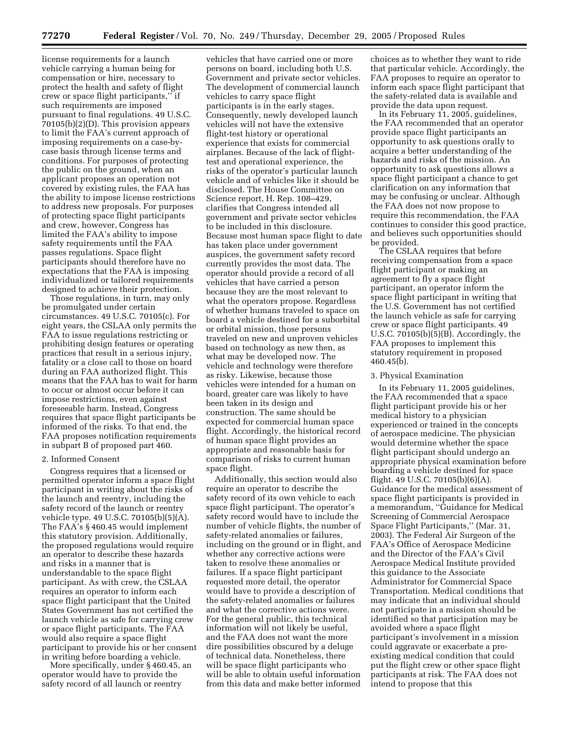license requirements for a launch vehicle carrying a human being for compensation or hire, necessary to protect the health and safety of flight crew or space flight participants,'' if such requirements are imposed pursuant to final regulations. 49 U.S.C. 70105(b)(2)(D). This provision appears to limit the FAA's current approach of imposing requirements on a case-bycase basis through license terms and conditions. For purposes of protecting the public on the ground, when an applicant proposes an operation not covered by existing rules, the FAA has the ability to impose license restrictions to address new proposals. For purposes of protecting space flight participants and crew, however, Congress has limited the FAA's ability to impose safety requirements until the FAA passes regulations. Space flight participants should therefore have no expectations that the FAA is imposing individualized or tailored requirements designed to achieve their protection.

Those regulations, in turn, may only be promulgated under certain circumstances. 49 U.S.C. 70105(c). For eight years, the CSLAA only permits the FAA to issue regulations restricting or prohibiting design features or operating practices that result in a serious injury, fatality or a close call to those on board during an FAA authorized flight. This means that the FAA has to wait for harm to occur or almost occur before it can impose restrictions, even against foreseeable harm. Instead, Congress requires that space flight participants be informed of the risks. To that end, the FAA proposes notification requirements in subpart B of proposed part 460.

#### 2. Informed Consent

Congress requires that a licensed or permitted operator inform a space flight participant in writing about the risks of the launch and reentry, including the safety record of the launch or reentry vehicle type. 49 U.S.C. 70105(b)(5)(A). The FAA's § 460.45 would implement this statutory provision. Additionally, the proposed regulations would require an operator to describe these hazards and risks in a manner that is understandable to the space flight participant. As with crew, the CSLAA requires an operator to inform each space flight participant that the United States Government has not certified the launch vehicle as safe for carrying crew or space flight participants. The FAA would also require a space flight participant to provide his or her consent in writing before boarding a vehicle.

More specifically, under § 460.45, an operator would have to provide the safety record of all launch or reentry

vehicles that have carried one or more persons on board, including both U.S. Government and private sector vehicles. The development of commercial launch vehicles to carry space flight participants is in the early stages. Consequently, newly developed launch vehicles will not have the extensive flight-test history or operational experience that exists for commercial airplanes. Because of the lack of flighttest and operational experience, the risks of the operator's particular launch vehicle and of vehicles like it should be disclosed. The House Committee on Science report, H. Rep. 108–429, clarifies that Congress intended all government and private sector vehicles to be included in this disclosure. Because most human space flight to date has taken place under government auspices, the government safety record currently provides the most data. The operator should provide a record of all vehicles that have carried a person because they are the most relevant to what the operators propose. Regardless of whether humans traveled to space on board a vehicle destined for a suborbital or orbital mission, those persons traveled on new and unproven vehicles based on technology as new then, as what may be developed now. The vehicle and technology were therefore as risky. Likewise, because those vehicles were intended for a human on board, greater care was likely to have been taken in its design and construction. The same should be expected for commercial human space flight. Accordingly, the historical record of human space flight provides an appropriate and reasonable basis for comparison of risks to current human space flight.

Additionally, this section would also require an operator to describe the safety record of its own vehicle to each space flight participant. The operator's safety record would have to include the number of vehicle flights, the number of safety-related anomalies or failures, including on the ground or in flight, and whether any corrective actions were taken to resolve these anomalies or failures. If a space flight participant requested more detail, the operator would have to provide a description of the safety-related anomalies or failures and what the corrective actions were. For the general public, this technical information will not likely be useful, and the FAA does not want the more dire possibilities obscured by a deluge of technical data. Nonetheless, there will be space flight participants who will be able to obtain useful information from this data and make better informed

choices as to whether they want to ride that particular vehicle. Accordingly, the FAA proposes to require an operator to inform each space flight participant that the safety-related data is available and provide the data upon request.

In its February 11, 2005, guidelines, the FAA recommended that an operator provide space flight participants an opportunity to ask questions orally to acquire a better understanding of the hazards and risks of the mission. An opportunity to ask questions allows a space flight participant a chance to get clarification on any information that may be confusing or unclear. Although the FAA does not now propose to require this recommendation, the FAA continues to consider this good practice, and believes such opportunities should be provided.

The CSLAA requires that before receiving compensation from a space flight participant or making an agreement to fly a space flight participant, an operator inform the space flight participant in writing that the U.S. Government has not certified the launch vehicle as safe for carrying crew or space flight participants. 49 U.S.C.  $70105(b)(5)(B)$ . Accordingly, the FAA proposes to implement this statutory requirement in proposed 460.45(b).

#### 3. Physical Examination

In its February 11, 2005 guidelines, the FAA recommended that a space flight participant provide his or her medical history to a physician experienced or trained in the concepts of aerospace medicine. The physician would determine whether the space flight participant should undergo an appropriate physical examination before boarding a vehicle destined for space flight. 49 U.S.C. 70105(b)(6)(A). Guidance for the medical assessment of space flight participants is provided in a memorandum, ''Guidance for Medical Screening of Commercial Aerospace Space Flight Participants,'' (Mar. 31, 2003). The Federal Air Surgeon of the FAA's Office of Aerospace Medicine and the Director of the FAA's Civil Aerospace Medical Institute provided this guidance to the Associate Administrator for Commercial Space Transportation. Medical conditions that may indicate that an individual should not participate in a mission should be identified so that participation may be avoided where a space flight participant's involvement in a mission could aggravate or exacerbate a preexisting medical condition that could put the flight crew or other space flight participants at risk. The FAA does not intend to propose that this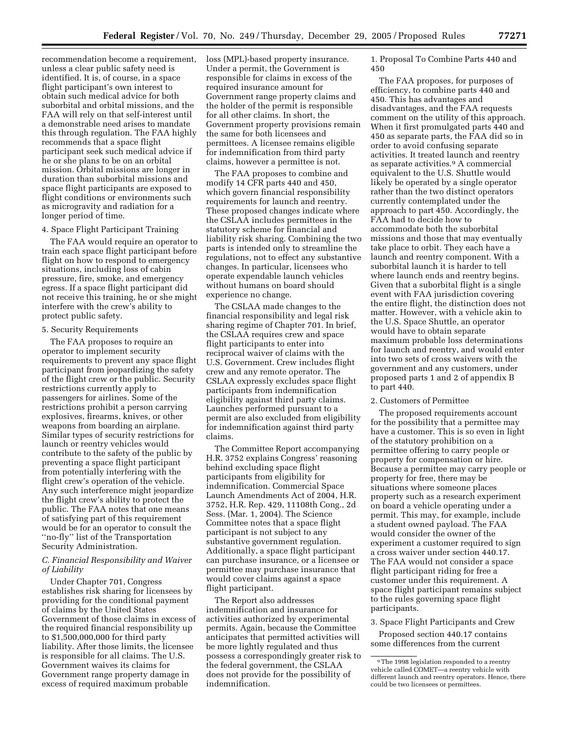recommendation become a requirement, unless a clear public safety need is identified. It is, of course, in a space flight participant's own interest to obtain such medical advice for both suborbital and orbital missions, and the FAA will rely on that self-interest until a demonstrable need arises to mandate this through regulation. The FAA highly recommends that a space flight participant seek such medical advice if he or she plans to be on an orbital mission. Orbital missions are longer in duration than suborbital missions and space flight participants are exposed to flight conditions or environments such as microgravity and radiation for a longer period of time.

### 4. Space Flight Participant Training

The FAA would require an operator to train each space flight participant before flight on how to respond to emergency situations, including loss of cabin pressure, fire, smoke, and emergency egress. If a space flight participant did not receive this training, he or she might interfere with the crew's ability to protect public safety.

#### 5. Security Requirements

The FAA proposes to require an operator to implement security requirements to prevent any space flight participant from jeopardizing the safety of the flight crew or the public. Security restrictions currently apply to passengers for airlines. Some of the restrictions prohibit a person carrying explosives, firearms, knives, or other weapons from boarding an airplane. Similar types of security restrictions for launch or reentry vehicles would contribute to the safety of the public by preventing a space flight participant from potentially interfering with the flight crew's operation of the vehicle. Any such interference might jeopardize the flight crew's ability to protect the public. The FAA notes that one means of satisfying part of this requirement would be for an operator to consult the ''no-fly'' list of the Transportation Security Administration.

### *C. Financial Responsibility and Waiver of Liability*

Under Chapter 701, Congress establishes risk sharing for licensees by providing for the conditional payment of claims by the United States Government of those claims in excess of the required financial responsibility up to \$1,500,000,000 for third party liability. After those limits, the licensee is responsible for all claims. The U.S. Government waives its claims for Government range property damage in excess of required maximum probable

loss (MPL)-based property insurance. Under a permit, the Government is responsible for claims in excess of the required insurance amount for Government range property claims and the holder of the permit is responsible for all other claims. In short, the Government property provisions remain the same for both licensees and permittees. A licensee remains eligible for indemnification from third party claims, however a permittee is not.

The FAA proposes to combine and modify 14 CFR parts 440 and 450, which govern financial responsibility requirements for launch and reentry. These proposed changes indicate where the CSLAA includes permittees in the statutory scheme for financial and liability risk sharing. Combining the two parts is intended only to streamline the regulations, not to effect any substantive changes. In particular, licensees who operate expendable launch vehicles without humans on board should experience no change.

The CSLAA made changes to the financial responsibility and legal risk sharing regime of Chapter 701. In brief, the CSLAA requires crew and space flight participants to enter into reciprocal waiver of claims with the U.S. Government. Crew includes flight crew and any remote operator. The CSLAA expressly excludes space flight participants from indemnification eligibility against third party claims. Launches performed pursuant to a permit are also excluded from eligibility for indemnification against third party claims.

The Committee Report accompanying H.R. 3752 explains Congress' reasoning behind excluding space flight participants from eligibility for indemnification. Commercial Space Launch Amendments Act of 2004, H.R. 3752, H.R. Rep. 429, 11108th Cong., 2d Sess. (Mar. 1, 2004). The Science Committee notes that a space flight participant is not subject to any substantive government regulation. Additionally, a space flight participant can purchase insurance, or a licensee or permittee may purchase insurance that would cover claims against a space flight participant.

The Report also addresses indemnification and insurance for activities authorized by experimental permits. Again, because the Committee anticipates that permitted activities will be more lightly regulated and thus possess a correspondingly greater risk to the federal government, the CSLAA does not provide for the possibility of indemnification.

1. Proposal To Combine Parts 440 and 450

The FAA proposes, for purposes of efficiency, to combine parts 440 and 450. This has advantages and disadvantages, and the FAA requests comment on the utility of this approach. When it first promulgated parts 440 and 450 as separate parts, the FAA did so in order to avoid confusing separate activities. It treated launch and reentry as separate activities.9 A commercial equivalent to the U.S. Shuttle would likely be operated by a single operator rather than the two distinct operators currently contemplated under the approach to part 450. Accordingly, the FAA had to decide how to accommodate both the suborbital missions and those that may eventually take place to orbit. They each have a launch and reentry component. With a suborbital launch it is harder to tell where launch ends and reentry begins. Given that a suborbital flight is a single event with FAA jurisdiction covering the entire flight, the distinction does not matter. However, with a vehicle akin to the U.S. Space Shuttle, an operator would have to obtain separate maximum probable loss determinations for launch and reentry, and would enter into two sets of cross waivers with the government and any customers, under proposed parts 1 and 2 of appendix B to part 440.

#### 2. Customers of Permittee

The proposed requirements account for the possibility that a permittee may have a customer. This is so even in light of the statutory prohibition on a permittee offering to carry people or property for compensation or hire. Because a permittee may carry people or property for free, there may be situations where someone places property such as a research experiment on board a vehicle operating under a permit. This may, for example, include a student owned payload. The FAA would consider the owner of the experiment a customer required to sign a cross waiver under section 440.17. The FAA would not consider a space flight participant riding for free a customer under this requirement. A space flight participant remains subject to the rules governing space flight participants.

3. Space Flight Participants and Crew

Proposed section 440.17 contains some differences from the current

<sup>9</sup>The 1998 legislation responded to a reentry vehicle called COMET—a reentry vehicle with different launch and reentry operators. Hence, there could be two licensees or permittees.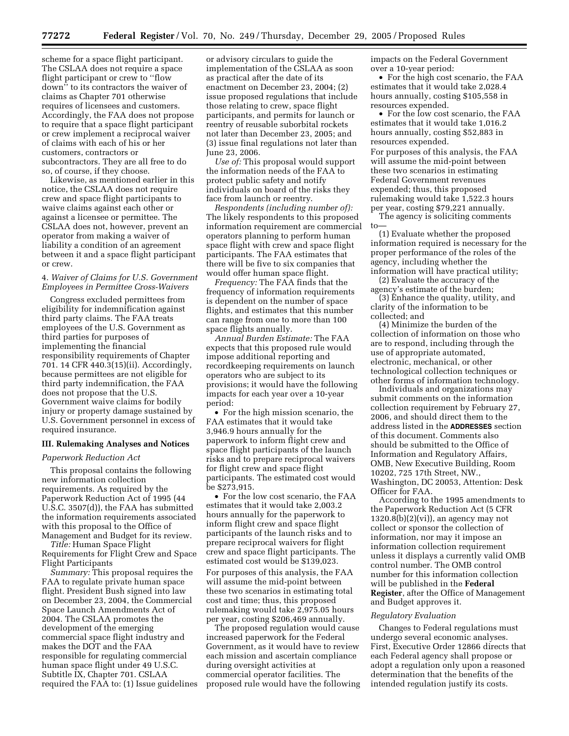scheme for a space flight participant. The CSLAA does not require a space flight participant or crew to ''flow down'' to its contractors the waiver of claims as Chapter 701 otherwise requires of licensees and customers. Accordingly, the FAA does not propose to require that a space flight participant or crew implement a reciprocal waiver of claims with each of his or her customers, contractors or subcontractors. They are all free to do so, of course, if they choose.

Likewise, as mentioned earlier in this notice, the CSLAA does not require crew and space flight participants to waive claims against each other or against a licensee or permittee. The CSLAA does not, however, prevent an operator from making a waiver of liability a condition of an agreement between it and a space flight participant or crew.

### 4. *Waiver of Claims for U.S. Government Employees in Permittee Cross-Waivers*

Congress excluded permittees from eligibility for indemnification against third party claims. The FAA treats employees of the U.S. Government as third parties for purposes of implementing the financial responsibility requirements of Chapter 701. 14 CFR 440.3(15)(ii). Accordingly, because permittees are not eligible for third party indemnification, the FAA does not propose that the U.S. Government waive claims for bodily injury or property damage sustained by U.S. Government personnel in excess of required insurance.

### **III. Rulemaking Analyses and Notices**

### *Paperwork Reduction Act*

This proposal contains the following new information collection requirements. As required by the Paperwork Reduction Act of 1995 (44 U.S.C. 3507(d)), the FAA has submitted the information requirements associated with this proposal to the Office of Management and Budget for its review.

*Title:* Human Space Flight Requirements for Flight Crew and Space Flight Participants

*Summary:* This proposal requires the FAA to regulate private human space flight. President Bush signed into law on December 23, 2004, the Commercial Space Launch Amendments Act of 2004. The CSLAA promotes the development of the emerging commercial space flight industry and makes the DOT and the FAA responsible for regulating commercial human space flight under 49 U.S.C. Subtitle IX, Chapter 701. CSLAA required the FAA to: (1) Issue guidelines or advisory circulars to guide the implementation of the CSLAA as soon as practical after the date of its enactment on December 23, 2004; (2) issue proposed regulations that include those relating to crew, space flight participants, and permits for launch or reentry of reusable suborbital rockets not later than December 23, 2005; and (3) issue final regulations not later than June 23, 2006.

*Use of:* This proposal would support the information needs of the FAA to protect public safety and notify individuals on board of the risks they face from launch or reentry.

*Respondents (including number of):*  The likely respondents to this proposed information requirement are commercial operators planning to perform human space flight with crew and space flight participants. The FAA estimates that there will be five to six companies that would offer human space flight.

*Frequency:* The FAA finds that the frequency of information requirements is dependent on the number of space flights, and estimates that this number can range from one to more than 100 space flights annually.

*Annual Burden Estimate:* The FAA expects that this proposed rule would impose additional reporting and recordkeeping requirements on launch operators who are subject to its provisions; it would have the following impacts for each year over a 10-year period:

• For the high mission scenario, the FAA estimates that it would take 3,946.9 hours annually for the paperwork to inform flight crew and space flight participants of the launch risks and to prepare reciprocal waivers for flight crew and space flight participants. The estimated cost would be \$273,915.

• For the low cost scenario, the FAA estimates that it would take 2,003.2 hours annually for the paperwork to inform flight crew and space flight participants of the launch risks and to prepare reciprocal waivers for flight crew and space flight participants. The estimated cost would be \$139,023. For purposes of this analysis, the FAA will assume the mid-point between

these two scenarios in estimating total cost and time; thus, this proposed rulemaking would take 2,975.05 hours per year, costing \$206,469 annually.

The proposed regulation would cause increased paperwork for the Federal Government, as it would have to review each mission and ascertain compliance during oversight activities at commercial operator facilities. The proposed rule would have the following impacts on the Federal Government over a 10-year period:

• For the high cost scenario, the FAA estimates that it would take 2,028.4 hours annually, costing \$105,558 in resources expended.

• For the low cost scenario, the FAA estimates that it would take 1,016.2 hours annually, costing \$52,883 in resources expended. For purposes of this analysis, the FAA will assume the mid-point between these two scenarios in estimating Federal Government revenues expended; thus, this proposed rulemaking would take 1,522.3 hours per year, costing \$79,221 annually.

The agency is soliciting comments to— (1) Evaluate whether the proposed

information required is necessary for the proper performance of the roles of the agency, including whether the information will have practical utility;

(2) Evaluate the accuracy of the agency's estimate of the burden;

(3) Enhance the quality, utility, and clarity of the information to be collected; and

(4) Minimize the burden of the collection of information on those who are to respond, including through the use of appropriate automated, electronic, mechanical, or other technological collection techniques or other forms of information technology.

Individuals and organizations may submit comments on the information collection requirement by February 27, 2006, and should direct them to the address listed in the **ADDRESSES** section of this document. Comments also should be submitted to the Office of Information and Regulatory Affairs, OMB, New Executive Building, Room 10202, 725 17th Street, NW., Washington, DC 20053, Attention: Desk Officer for FAA.

According to the 1995 amendments to the Paperwork Reduction Act (5 CFR  $1320.8(b)(2)(vi)$ , an agency may not collect or sponsor the collection of information, nor may it impose an information collection requirement unless it displays a currently valid OMB control number. The OMB control number for this information collection will be published in the **Federal Register**, after the Office of Management and Budget approves it.

#### *Regulatory Evaluation*

Changes to Federal regulations must undergo several economic analyses. First, Executive Order 12866 directs that each Federal agency shall propose or adopt a regulation only upon a reasoned determination that the benefits of the intended regulation justify its costs.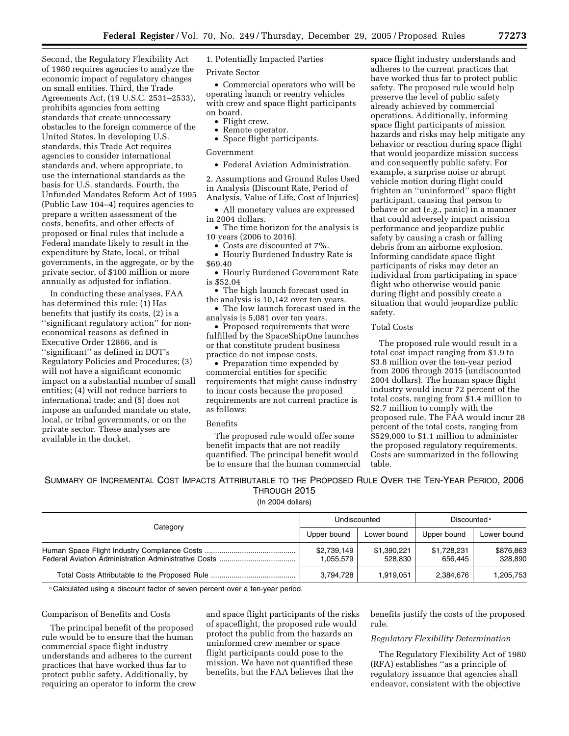Second, the Regulatory Flexibility Act of 1980 requires agencies to analyze the economic impact of regulatory changes on small entities. Third, the Trade Agreements Act, (19 U.S.C. 2531–2533), prohibits agencies from setting standards that create unnecessary obstacles to the foreign commerce of the United States. In developing U.S. standards, this Trade Act requires agencies to consider international standards and, where appropriate, to use the international standards as the basis for U.S. standards. Fourth, the Unfunded Mandates Reform Act of 1995 (Public Law 104–4) requires agencies to prepare a written assessment of the costs, benefits, and other effects of proposed or final rules that include a Federal mandate likely to result in the expenditure by State, local, or tribal governments, in the aggregate, or by the private sector, of \$100 million or more annually as adjusted for inflation.

In conducting these analyses, FAA has determined this rule: (1) Has benefits that justify its costs, (2) is a ''significant regulatory action'' for noneconomical reasons as defined in Executive Order 12866, and is ''significant'' as defined in DOT's Regulatory Policies and Procedures; (3) will not have a significant economic impact on a substantial number of small entities; (4) will not reduce barriers to international trade; and (5) does not impose an unfunded mandate on state, local, or tribal governments, or on the private sector. These analyses are available in the docket.

1. Potentially Impacted Parties

Private Sector

• Commercial operators who will be operating launch or reentry vehicles with crew and space flight participants on board.

- Flight crew.
- Remote operator.
- Space flight participants.

Government

• Federal Aviation Administration.

2. Assumptions and Ground Rules Used in Analysis (Discount Rate, Period of Analysis, Value of Life, Cost of Injuries)

• All monetary values are expressed in 2004 dollars.

• The time horizon for the analysis is 10 years (2006 to 2016).

• Costs are discounted at 7%.

• Hourly Burdened Industry Rate is \$69.40

• Hourly Burdened Government Rate is \$52.04

• The high launch forecast used in the analysis is 10,142 over ten years.

• The low launch forecast used in the analysis is 5,081 over ten years.

• Proposed requirements that were fulfilled by the SpaceShipOne launches or that constitute prudent business practice do not impose costs.

• Preparation time expended by commercial entities for specific requirements that might cause industry to incur costs because the proposed requirements are not current practice is as follows:

#### Benefits

The proposed rule would offer some benefit impacts that are not readily quantified. The principal benefit would be to ensure that the human commercial

space flight industry understands and adheres to the current practices that have worked thus far to protect public safety. The proposed rule would help preserve the level of public safety already achieved by commercial operations. Additionally, informing space flight participants of mission hazards and risks may help mitigate any behavior or reaction during space flight that would jeopardize mission success and consequently public safety. For example, a surprise noise or abrupt vehicle motion during flight could frighten an ''uninformed'' space flight participant, causing that person to behave or act (*e.g.*, panic) in a manner that could adversely impact mission performance and jeopardize public safety by causing a crash or falling debris from an airborne explosion. Informing candidate space flight participants of risks may deter an individual from participating in space flight who otherwise would panic during flight and possibly create a situation that would jeopardize public safety.

### Total Costs

The proposed rule would result in a total cost impact ranging from \$1.9 to \$3.8 million over the ten-year period from 2006 through 2015 (undiscounted 2004 dollars). The human space flight industry would incur 72 percent of the total costs, ranging from \$1.4 million to \$2.7 million to comply with the proposed rule. The FAA would incur 28 percent of the total costs, ranging from \$529,000 to \$1.1 million to administer the proposed regulatory requirements. Costs are summarized in the following table.

SUMMARY OF INCREMENTAL COST IMPACTS ATTRIBUTABLE TO THE PROPOSED RULE OVER THE TEN-YEAR PERIOD, 2006 THROUGH 2015

(In 2004 dollars)

| Category | Undiscounted             |                        | Discounted a           |                      |
|----------|--------------------------|------------------------|------------------------|----------------------|
|          | Upper bound              | Lower bound            | Upper bound            | Lower bound          |
|          | \$2,739,149<br>1.055.579 | \$1,390,221<br>528.830 | \$1,728,231<br>656.445 | \$876,863<br>328,890 |
|          | 3.794.728                | 1.919.051              | 2.384.676              | 1.205.753            |

a Calculated using a discount factor of seven percent over a ten-year period.

### Comparison of Benefits and Costs

The principal benefit of the proposed rule would be to ensure that the human commercial space flight industry understands and adheres to the current practices that have worked thus far to protect public safety. Additionally, by requiring an operator to inform the crew and space flight participants of the risks of spaceflight, the proposed rule would protect the public from the hazards an uninformed crew member or space flight participants could pose to the mission. We have not quantified these benefits, but the FAA believes that the

benefits justify the costs of the proposed rule.

#### *Regulatory Flexibility Determination*

The Regulatory Flexibility Act of 1980 (RFA) establishes ''as a principle of regulatory issuance that agencies shall endeavor, consistent with the objective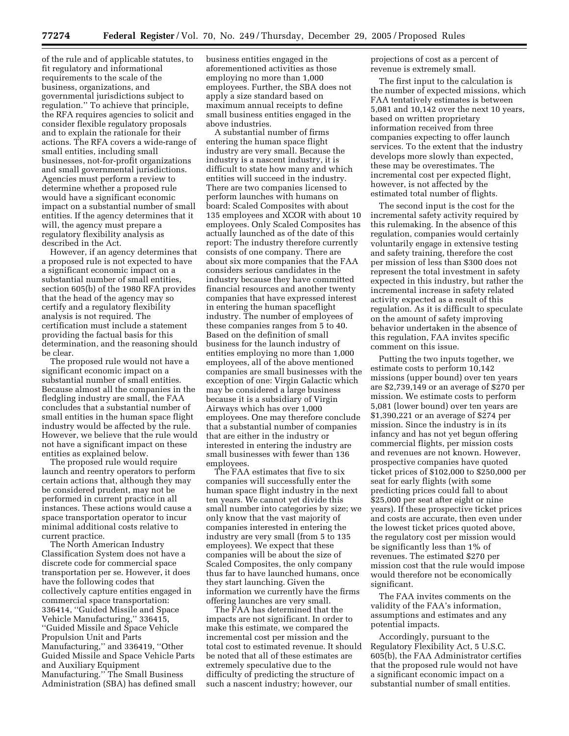of the rule and of applicable statutes, to fit regulatory and informational requirements to the scale of the business, organizations, and governmental jurisdictions subject to regulation.'' To achieve that principle, the RFA requires agencies to solicit and consider flexible regulatory proposals and to explain the rationale for their actions. The RFA covers a wide-range of small entities, including small businesses, not-for-profit organizations and small governmental jurisdictions. Agencies must perform a review to determine whether a proposed rule would have a significant economic impact on a substantial number of small entities. If the agency determines that it will, the agency must prepare a regulatory flexibility analysis as described in the Act.

However, if an agency determines that a proposed rule is not expected to have a significant economic impact on a substantial number of small entities, section 605(b) of the 1980 RFA provides that the head of the agency may so certify and a regulatory flexibility analysis is not required. The certification must include a statement providing the factual basis for this determination, and the reasoning should be clear.

The proposed rule would not have a significant economic impact on a substantial number of small entities. Because almost all the companies in the fledgling industry are small, the FAA concludes that a substantial number of small entities in the human space flight industry would be affected by the rule. However, we believe that the rule would not have a significant impact on these entities as explained below.

The proposed rule would require launch and reentry operators to perform certain actions that, although they may be considered prudent, may not be performed in current practice in all instances. These actions would cause a space transportation operator to incur minimal additional costs relative to current practice.

The North American Industry Classification System does not have a discrete code for commercial space transportation per se. However, it does have the following codes that collectively capture entities engaged in commercial space transportation: 336414, ''Guided Missile and Space Vehicle Manufacturing,'' 336415, ''Guided Missile and Space Vehicle Propulsion Unit and Parts Manufacturing,'' and 336419, ''Other Guided Missile and Space Vehicle Parts and Auxiliary Equipment Manufacturing.'' The Small Business Administration (SBA) has defined small business entities engaged in the aforementioned activities as those employing no more than 1,000 employees. Further, the SBA does not apply a size standard based on maximum annual receipts to define small business entities engaged in the above industries.

A substantial number of firms entering the human space flight industry are very small. Because the industry is a nascent industry, it is difficult to state how many and which entities will succeed in the industry. There are two companies licensed to perform launches with humans on board: Scaled Composites with about 135 employees and XCOR with about 10 employees. Only Scaled Composites has actually launched as of the date of this report: The industry therefore currently consists of one company. There are about six more companies that the FAA considers serious candidates in the industry because they have committed financial resources and another twenty companies that have expressed interest in entering the human spaceflight industry. The number of employees of these companies ranges from 5 to 40. Based on the definition of small business for the launch industry of entities employing no more than 1,000 employees, all of the above mentioned companies are small businesses with the exception of one: Virgin Galactic which may be considered a large business because it is a subsidiary of Virgin Airways which has over 1,000 employees. One may therefore conclude that a substantial number of companies that are either in the industry or interested in entering the industry are small businesses with fewer than 136 employees.

The FAA estimates that five to six companies will successfully enter the human space flight industry in the next ten years. We cannot yet divide this small number into categories by size; we only know that the vast majority of companies interested in entering the industry are very small (from 5 to 135 employees). We expect that these companies will be about the size of Scaled Composites, the only company thus far to have launched humans, once they start launching. Given the information we currently have the firms offering launches are very small.

The FAA has determined that the impacts are not significant. In order to make this estimate, we compared the incremental cost per mission and the total cost to estimated revenue. It should be noted that all of these estimates are extremely speculative due to the difficulty of predicting the structure of such a nascent industry; however, our

projections of cost as a percent of revenue is extremely small.

The first input to the calculation is the number of expected missions, which FAA tentatively estimates is between 5,081 and 10,142 over the next 10 years, based on written proprietary information received from three companies expecting to offer launch services. To the extent that the industry develops more slowly than expected, these may be overestimates. The incremental cost per expected flight, however, is not affected by the estimated total number of flights.

The second input is the cost for the incremental safety activity required by this rulemaking. In the absence of this regulation, companies would certainly voluntarily engage in extensive testing and safety training, therefore the cost per mission of less than \$300 does not represent the total investment in safety expected in this industry, but rather the incremental increase in safety related activity expected as a result of this regulation. As it is difficult to speculate on the amount of safety improving behavior undertaken in the absence of this regulation, FAA invites specific comment on this issue.

Putting the two inputs together, we estimate costs to perform 10,142 missions (upper bound) over ten years are \$2,739,149 or an average of \$270 per mission. We estimate costs to perform 5,081 (lower bound) over ten years are \$1,390,221 or an average of \$274 per mission. Since the industry is in its infancy and has not yet begun offering commercial flights, per mission costs and revenues are not known. However, prospective companies have quoted ticket prices of \$102,000 to \$250,000 per seat for early flights (with some predicting prices could fall to about \$25,000 per seat after eight or nine years). If these prospective ticket prices and costs are accurate, then even under the lowest ticket prices quoted above, the regulatory cost per mission would be significantly less than 1% of revenues. The estimated \$270 per mission cost that the rule would impose would therefore not be economically significant.

The FAA invites comments on the validity of the FAA's information, assumptions and estimates and any potential impacts.

Accordingly, pursuant to the Regulatory Flexibility Act, 5 U.S.C. 605(b), the FAA Administrator certifies that the proposed rule would not have a significant economic impact on a substantial number of small entities.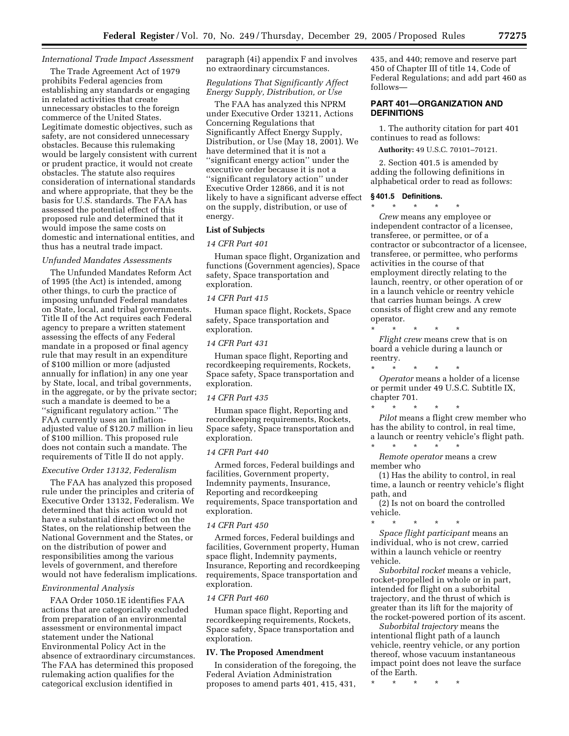### *International Trade Impact Assessment*

The Trade Agreement Act of 1979 prohibits Federal agencies from establishing any standards or engaging in related activities that create unnecessary obstacles to the foreign commerce of the United States. Legitimate domestic objectives, such as safety, are not considered unnecessary obstacles. Because this rulemaking would be largely consistent with current or prudent practice, it would not create obstacles. The statute also requires consideration of international standards and where appropriate, that they be the basis for U.S. standards. The FAA has assessed the potential effect of this proposed rule and determined that it would impose the same costs on domestic and international entities, and thus has a neutral trade impact.

#### *Unfunded Mandates Assessments*

The Unfunded Mandates Reform Act of 1995 (the Act) is intended, among other things, to curb the practice of imposing unfunded Federal mandates on State, local, and tribal governments. Title II of the Act requires each Federal agency to prepare a written statement assessing the effects of any Federal mandate in a proposed or final agency rule that may result in an expenditure of \$100 million or more (adjusted annually for inflation) in any one year by State, local, and tribal governments, in the aggregate, or by the private sector; such a mandate is deemed to be a ''significant regulatory action.'' The FAA currently uses an inflationadjusted value of \$120.7 million in lieu of \$100 million. This proposed rule does not contain such a mandate. The requirements of Title II do not apply.

#### *Executive Order 13132, Federalism*

The FAA has analyzed this proposed rule under the principles and criteria of Executive Order 13132, Federalism. We determined that this action would not have a substantial direct effect on the States, on the relationship between the National Government and the States, or on the distribution of power and responsibilities among the various levels of government, and therefore would not have federalism implications.

#### *Environmental Analysis*

FAA Order 1050.1E identifies FAA actions that are categorically excluded from preparation of an environmental assessment or environmental impact statement under the National Environmental Policy Act in the absence of extraordinary circumstances. The FAA has determined this proposed rulemaking action qualifies for the categorical exclusion identified in

paragraph (4i) appendix F and involves no extraordinary circumstances.

### *Regulations That Significantly Affect Energy Supply, Distribution, or Use*

The FAA has analyzed this NPRM under Executive Order 13211, Actions Concerning Regulations that Significantly Affect Energy Supply, Distribution, or Use (May 18, 2001). We have determined that it is not a ''significant energy action'' under the executive order because it is not a ''significant regulatory action'' under Executive Order 12866, and it is not likely to have a significant adverse effect on the supply, distribution, or use of energy.

### **List of Subjects**

### *14 CFR Part 401*

Human space flight, Organization and functions (Government agencies), Space safety, Space transportation and exploration.

#### *14 CFR Part 415*

Human space flight, Rockets, Space safety, Space transportation and exploration.

#### *14 CFR Part 431*

Human space flight, Reporting and recordkeeping requirements, Rockets, Space safety, Space transportation and exploration.

### *14 CFR Part 435*

Human space flight, Reporting and recordkeeping requirements, Rockets, Space safety, Space transportation and exploration.

#### *14 CFR Part 440*

Armed forces, Federal buildings and facilities, Government property, Indemnity payments, Insurance, Reporting and recordkeeping requirements, Space transportation and exploration.

### *14 CFR Part 450*

Armed forces, Federal buildings and facilities, Government property, Human space flight, Indemnity payments, Insurance, Reporting and recordkeeping requirements, Space transportation and exploration.

#### *14 CFR Part 460*

Human space flight, Reporting and recordkeeping requirements, Rockets, Space safety, Space transportation and exploration.

#### **IV. The Proposed Amendment**

In consideration of the foregoing, the Federal Aviation Administration proposes to amend parts 401, 415, 431,

435, and 440; remove and reserve part 450 of Chapter III of title 14, Code of Federal Regulations; and add part 460 as follows—

### **PART 401—ORGANIZATION AND DEFINITIONS**

1. The authority citation for part 401 continues to read as follows:

**Authority:** 49 U.S.C. 70101–70121.

2. Section 401.5 is amended by adding the following definitions in alphabetical order to read as follows:

#### **§ 401.5 Definitions.**

\* \* \* \* \*

*Crew* means any employee or independent contractor of a licensee, transferee, or permittee, or of a contractor or subcontractor of a licensee, transferee, or permittee, who performs activities in the course of that employment directly relating to the launch, reentry, or other operation of or in a launch vehicle or reentry vehicle that carries human beings. A crew consists of flight crew and any remote operator.

\* \* \* \* \* *Flight crew* means crew that is on board a vehicle during a launch or reentry.

\* \* \* \* \* *Operator* means a holder of a license or permit under 49 U.S.C. Subtitle IX, chapter 701.

\* \* \* \* \* *Pilot* means a flight crew member who has the ability to control, in real time, a launch or reentry vehicle's flight path. \* \* \* \* \*

*Remote operator* means a crew member who

(1) Has the ability to control, in real time, a launch or reentry vehicle's flight path, and

(2) Is not on board the controlled vehicle.

\* \* \* \* \* *Space flight participant* means an individual, who is not crew, carried within a launch vehicle or reentry vehicle.

*Suborbital rocket* means a vehicle, rocket-propelled in whole or in part, intended for flight on a suborbital trajectory, and the thrust of which is greater than its lift for the majority of the rocket-powered portion of its ascent.

*Suborbital trajectory* means the intentional flight path of a launch vehicle, reentry vehicle, or any portion thereof, whose vacuum instantaneous impact point does not leave the surface of the Earth.

\* \* \* \* \*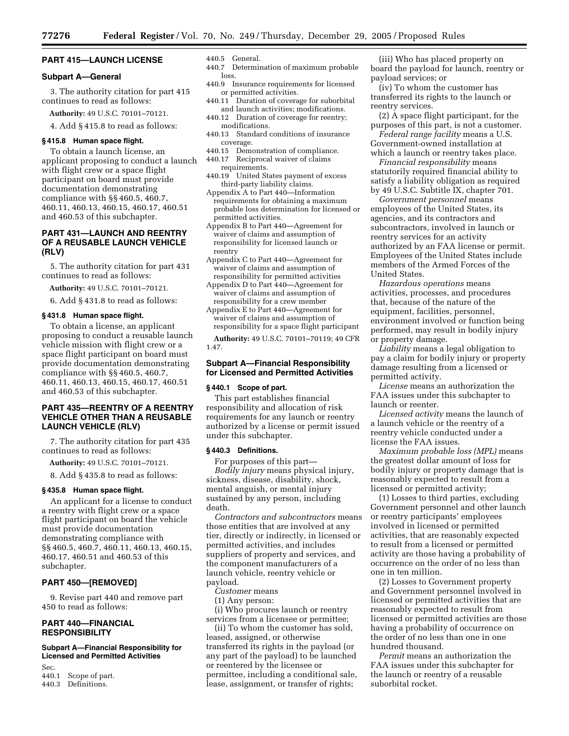### **PART 415—LAUNCH LICENSE**

### **Subpart A—General**

3. The authority citation for part 415 continues to read as follows:

**Authority:** 49 U.S.C. 70101–70121.

4. Add § 415.8 to read as follows:

### **§ 415.8 Human space flight.**

To obtain a launch license, an applicant proposing to conduct a launch with flight crew or a space flight participant on board must provide documentation demonstrating compliance with §§ 460.5, 460.7, 460.11, 460.13, 460.15, 460.17, 460.51 and 460.53 of this subchapter.

### **PART 431—LAUNCH AND REENTRY OF A REUSABLE LAUNCH VEHICLE (RLV)**

5. The authority citation for part 431 continues to read as follows:

**Authority:** 49 U.S.C. 70101–70121.

6. Add § 431.8 to read as follows:

### **§ 431.8 Human space flight.**

To obtain a license, an applicant proposing to conduct a reusable launch vehicle mission with flight crew or a space flight participant on board must provide documentation demonstrating compliance with §§ 460.5, 460.7, 460.11, 460.13, 460.15, 460.17, 460.51 and 460.53 of this subchapter.

### **PART 435—REENTRY OF A REENTRY VEHICLE OTHER THAN A REUSABLE LAUNCH VEHICLE (RLV)**

7. The authority citation for part 435 continues to read as follows:

**Authority:** 49 U.S.C. 70101–70121.

8. Add § 435.8 to read as follows:

### **§ 435.8 Human space flight.**

An applicant for a license to conduct a reentry with flight crew or a space flight participant on board the vehicle must provide documentation demonstrating compliance with §§ 460.5, 460.7, 460.11, 460.13, 460.15, 460.17, 460.51 and 460.53 of this subchapter.

### **PART 450—[REMOVED]**

9. Revise part 440 and remove part 450 to read as follows:

### **PART 440—FINANCIAL RESPONSIBILITY**

### **Subpart A—Financial Responsibility for Licensed and Permitted Activities**

Sec.<br>440 1

Scope of part. 440.3 Definitions.

440.5 General.

- 440.7 Determination of maximum probable loss.
- 440.9 Insurance requirements for licensed or permitted activities.
- 440.11 Duration of coverage for suborbital and launch activities; modifications.
- 440.12 Duration of coverage for reentry;
- modifications. 440.13 Standard conditions of insurance
- coverage. 440.15 Demonstration of compliance.
- 440.17 Reciprocal waiver of claims requirements.
- 440.19 United States payment of excess third-party liability claims.
- Appendix A to Part 440—Information requirements for obtaining a maximum probable loss determination for licensed or permitted activities.
- Appendix B to Part 440—Agreement for waiver of claims and assumption of responsibility for licensed launch or reentry
- Appendix C to Part 440—Agreement for waiver of claims and assumption of responsibility for permitted activities
- Appendix D to Part 440—Agreement for waiver of claims and assumption of responsibility for a crew member
- Appendix E to Part 440—Agreement for waiver of claims and assumption of responsibility for a space flight participant

**Authority:** 49 U.S.C. 70101–70119; 49 CFR 1.47.

### **Subpart A—Financial Responsibility for Licensed and Permitted Activities**

### **§ 440.1 Scope of part.**

This part establishes financial responsibility and allocation of risk requirements for any launch or reentry authorized by a license or permit issued under this subchapter.

#### **§ 440.3 Definitions.**

For purposes of this part— *Bodily injury* means physical injury, sickness, disease, disability, shock, mental anguish, or mental injury sustained by any person, including death.

*Contractors and subcontractors* means those entities that are involved at any tier, directly or indirectly, in licensed or permitted activities, and includes suppliers of property and services, and the component manufacturers of a launch vehicle, reentry vehicle or payload.

*Customer* means

(1) Any person:

(i) Who procures launch or reentry services from a licensee or permittee;

(ii) To whom the customer has sold, leased, assigned, or otherwise transferred its rights in the payload (or any part of the payload) to be launched or reentered by the licensee or permittee, including a conditional sale, lease, assignment, or transfer of rights;

(iii) Who has placed property on board the payload for launch, reentry or payload services; or

(iv) To whom the customer has transferred its rights to the launch or reentry services.

(2) A space flight participant, for the purposes of this part, is not a customer.

*Federal range facility* means a U.S. Government-owned installation at which a launch or reentry takes place.

*Financial responsibility* means statutorily required financial ability to satisfy a liability obligation as required by 49 U.S.C. Subtitle IX, chapter 701.

*Government personnel* means employees of the United States, its agencies, and its contractors and subcontractors, involved in launch or reentry services for an activity authorized by an FAA license or permit. Employees of the United States include members of the Armed Forces of the United States.

*Hazardous operations* means activities, processes, and procedures that, because of the nature of the equipment, facilities, personnel, environment involved or function being performed, may result in bodily injury or property damage.

*Liability* means a legal obligation to pay a claim for bodily injury or property damage resulting from a licensed or permitted activity.

*License* means an authorization the FAA issues under this subchapter to launch or reenter.

*Licensed activity* means the launch of a launch vehicle or the reentry of a reentry vehicle conducted under a license the FAA issues.

*Maximum probable loss (MPL)* means the greatest dollar amount of loss for bodily injury or property damage that is reasonably expected to result from a licensed or permitted activity;

(1) Losses to third parties, excluding Government personnel and other launch or reentry participants' employees involved in licensed or permitted activities, that are reasonably expected to result from a licensed or permitted activity are those having a probability of occurrence on the order of no less than one in ten million.

(2) Losses to Government property and Government personnel involved in licensed or permitted activities that are reasonably expected to result from licensed or permitted activities are those having a probability of occurrence on the order of no less than one in one hundred thousand.

*Permit* means an authorization the FAA issues under this subchapter for the launch or reentry of a reusable suborbital rocket.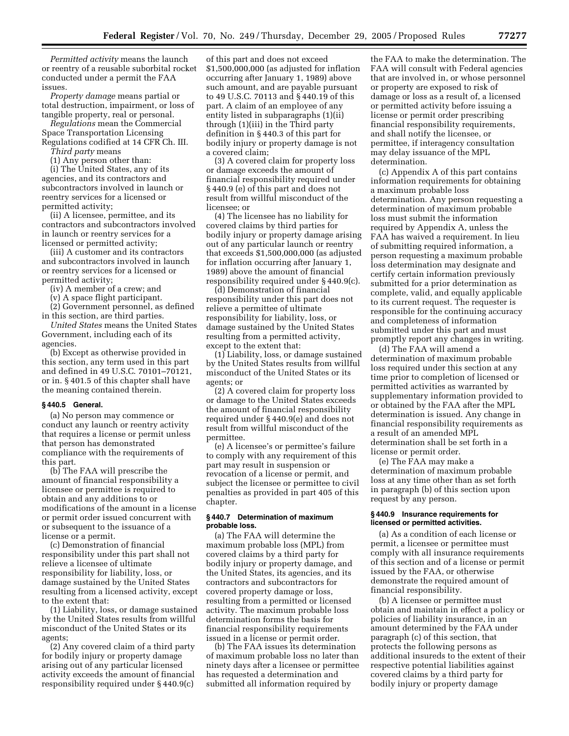*Permitted activity* means the launch or reentry of a reusable suborbital rocket conducted under a permit the FAA issues.

*Property damage* means partial or total destruction, impairment, or loss of tangible property, real or personal.

*Regulations* mean the Commercial Space Transportation Licensing Regulations codified at 14 CFR Ch. III.

*Third party* means

(1) Any person other than:

(i) The United States, any of its agencies, and its contractors and subcontractors involved in launch or reentry services for a licensed or permitted activity;

(ii) A licensee, permittee, and its contractors and subcontractors involved in launch or reentry services for a licensed or permitted activity;

(iii) A customer and its contractors and subcontractors involved in launch or reentry services for a licensed or permitted activity;

(iv) A member of a crew; and

(v) A space flight participant.

(2) Government personnel, as defined in this section, are third parties.

*United States* means the United States Government, including each of its agencies.

(b) Except as otherwise provided in this section, any term used in this part and defined in 49 U.S.C. 70101–70121, or in. § 401.5 of this chapter shall have the meaning contained therein.

### **§ 440.5 General.**

(a) No person may commence or conduct any launch or reentry activity that requires a license or permit unless that person has demonstrated compliance with the requirements of this part.

(b) The FAA will prescribe the amount of financial responsibility a licensee or permittee is required to obtain and any additions to or modifications of the amount in a license or permit order issued concurrent with or subsequent to the issuance of a license or a permit.

(c) Demonstration of financial responsibility under this part shall not relieve a licensee of ultimate responsibility for liability, loss, or damage sustained by the United States resulting from a licensed activity, except to the extent that:

(1) Liability, loss, or damage sustained by the United States results from willful misconduct of the United States or its agents;

(2) Any covered claim of a third party for bodily injury or property damage arising out of any particular licensed activity exceeds the amount of financial responsibility required under § 440.9(c)

of this part and does not exceed \$1,500,000,000 (as adjusted for inflation occurring after January 1, 1989) above such amount, and are payable pursuant to 49 U.S.C. 70113 and § 440.19 of this part. A claim of an employee of any entity listed in subparagraphs (1)(ii) through (1)(iii) in the Third party definition in § 440.3 of this part for bodily injury or property damage is not a covered claim;

(3) A covered claim for property loss or damage exceeds the amount of financial responsibility required under § 440.9 (e) of this part and does not result from willful misconduct of the licensee; or

(4) The licensee has no liability for covered claims by third parties for bodily injury or property damage arising out of any particular launch or reentry that exceeds \$1,500,000,000 (as adjusted for inflation occurring after January 1, 1989) above the amount of financial responsibility required under § 440.9(c).

(d) Demonstration of financial responsibility under this part does not relieve a permittee of ultimate responsibility for liability, loss, or damage sustained by the United States resulting from a permitted activity, except to the extent that:

(1) Liability, loss, or damage sustained by the United States results from willful misconduct of the United States or its agents; or

(2) A covered claim for property loss or damage to the United States exceeds the amount of financial responsibility required under § 440.9(e) and does not result from willful misconduct of the permittee.

(e) A licensee's or permittee's failure to comply with any requirement of this part may result in suspension or revocation of a license or permit, and subject the licensee or permittee to civil penalties as provided in part 405 of this chapter.

### **§ 440.7 Determination of maximum probable loss.**

(a) The FAA will determine the maximum probable loss (MPL) from covered claims by a third party for bodily injury or property damage, and the United States, its agencies, and its contractors and subcontractors for covered property damage or loss, resulting from a permitted or licensed activity. The maximum probable loss determination forms the basis for financial responsibility requirements issued in a license or permit order.

(b) The FAA issues its determination of maximum probable loss no later than ninety days after a licensee or permittee has requested a determination and submitted all information required by

the FAA to make the determination. The FAA will consult with Federal agencies that are involved in, or whose personnel or property are exposed to risk of damage or loss as a result of, a licensed or permitted activity before issuing a license or permit order prescribing financial responsibility requirements, and shall notify the licensee, or permittee, if interagency consultation may delay issuance of the MPL determination.

(c) Appendix A of this part contains information requirements for obtaining a maximum probable loss determination. Any person requesting a determination of maximum probable loss must submit the information required by Appendix A, unless the FAA has waived a requirement. In lieu of submitting required information, a person requesting a maximum probable loss determination may designate and certify certain information previously submitted for a prior determination as complete, valid, and equally applicable to its current request. The requester is responsible for the continuing accuracy and completeness of information submitted under this part and must promptly report any changes in writing.

(d) The FAA will amend a determination of maximum probable loss required under this section at any time prior to completion of licensed or permitted activities as warranted by supplementary information provided to or obtained by the FAA after the MPL determination is issued. Any change in financial responsibility requirements as a result of an amended MPL determination shall be set forth in a license or permit order.

(e) The FAA may make a determination of maximum probable loss at any time other than as set forth in paragraph (b) of this section upon request by any person.

### **§ 440.9 Insurance requirements for licensed or permitted activities.**

(a) As a condition of each license or permit, a licensee or permittee must comply with all insurance requirements of this section and of a license or permit issued by the FAA, or otherwise demonstrate the required amount of financial responsibility.

(b) A licensee or permittee must obtain and maintain in effect a policy or policies of liability insurance, in an amount determined by the FAA under paragraph (c) of this section, that protects the following persons as additional insureds to the extent of their respective potential liabilities against covered claims by a third party for bodily injury or property damage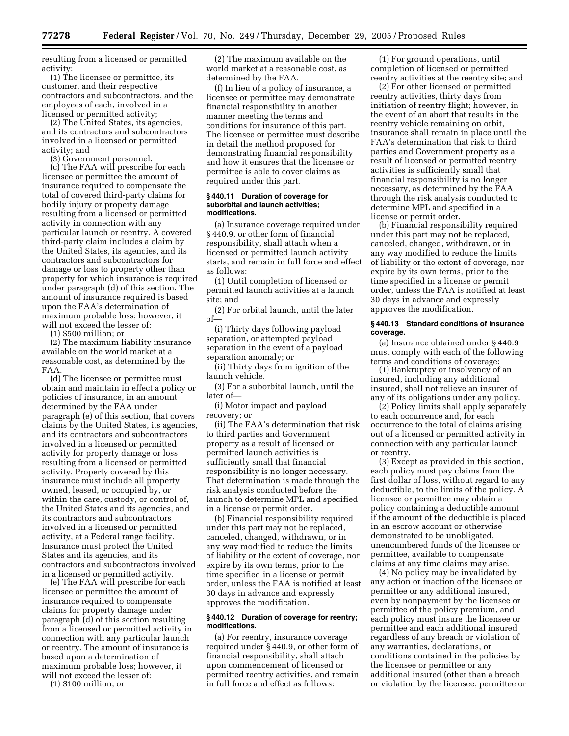resulting from a licensed or permitted activity:

(1) The licensee or permittee, its customer, and their respective contractors and subcontractors, and the employees of each, involved in a licensed or permitted activity;

(2) The United States, its agencies, and its contractors and subcontractors involved in a licensed or permitted activity; and

(3) Government personnel.

(c) The FAA will prescribe for each licensee or permittee the amount of insurance required to compensate the total of covered third-party claims for bodily injury or property damage resulting from a licensed or permitted activity in connection with any particular launch or reentry. A covered third-party claim includes a claim by the United States, its agencies, and its contractors and subcontractors for damage or loss to property other than property for which insurance is required under paragraph (d) of this section. The amount of insurance required is based upon the FAA's determination of maximum probable loss; however, it will not exceed the lesser of:

(1) \$500 million; or

(2) The maximum liability insurance available on the world market at a reasonable cost, as determined by the FAA.

(d) The licensee or permittee must obtain and maintain in effect a policy or policies of insurance, in an amount determined by the FAA under paragraph (e) of this section, that covers claims by the United States, its agencies, and its contractors and subcontractors involved in a licensed or permitted activity for property damage or loss resulting from a licensed or permitted activity. Property covered by this insurance must include all property owned, leased, or occupied by, or within the care, custody, or control of, the United States and its agencies, and its contractors and subcontractors involved in a licensed or permitted activity, at a Federal range facility. Insurance must protect the United States and its agencies, and its contractors and subcontractors involved in a licensed or permitted activity.

(e) The FAA will prescribe for each licensee or permittee the amount of insurance required to compensate claims for property damage under paragraph (d) of this section resulting from a licensed or permitted activity in connection with any particular launch or reentry. The amount of insurance is based upon a determination of maximum probable loss; however, it will not exceed the lesser of:

(1) \$100 million; or

(2) The maximum available on the world market at a reasonable cost, as determined by the FAA.

(f) In lieu of a policy of insurance, a licensee or permittee may demonstrate financial responsibility in another manner meeting the terms and conditions for insurance of this part. The licensee or permittee must describe in detail the method proposed for demonstrating financial responsibility and how it ensures that the licensee or permittee is able to cover claims as required under this part.

#### **§ 440.11 Duration of coverage for suborbital and launch activities; modifications.**

(a) Insurance coverage required under § 440.9, or other form of financial responsibility, shall attach when a licensed or permitted launch activity starts, and remain in full force and effect as follows:

(1) Until completion of licensed or permitted launch activities at a launch site; and

(2) For orbital launch, until the later of—

(i) Thirty days following payload separation, or attempted payload separation in the event of a payload separation anomaly; or

(ii) Thirty days from ignition of the launch vehicle.

(3) For a suborbital launch, until the later of—

(i) Motor impact and payload recovery; or

(ii) The FAA's determination that risk to third parties and Government property as a result of licensed or permitted launch activities is sufficiently small that financial responsibility is no longer necessary. That determination is made through the risk analysis conducted before the launch to determine MPL and specified in a license or permit order.

(b) Financial responsibility required under this part may not be replaced, canceled, changed, withdrawn, or in any way modified to reduce the limits of liability or the extent of coverage, nor expire by its own terms, prior to the time specified in a license or permit order, unless the FAA is notified at least 30 days in advance and expressly approves the modification.

#### **§ 440.12 Duration of coverage for reentry; modifications.**

(a) For reentry, insurance coverage required under § 440.9, or other form of financial responsibility, shall attach upon commencement of licensed or permitted reentry activities, and remain in full force and effect as follows:

(1) For ground operations, until completion of licensed or permitted reentry activities at the reentry site; and

(2) For other licensed or permitted reentry activities, thirty days from initiation of reentry flight; however, in the event of an abort that results in the reentry vehicle remaining on orbit, insurance shall remain in place until the FAA's determination that risk to third parties and Government property as a result of licensed or permitted reentry activities is sufficiently small that financial responsibility is no longer necessary, as determined by the FAA through the risk analysis conducted to determine MPL and specified in a license or permit order.

(b) Financial responsibility required under this part may not be replaced, canceled, changed, withdrawn, or in any way modified to reduce the limits of liability or the extent of coverage, nor expire by its own terms, prior to the time specified in a license or permit order, unless the FAA is notified at least 30 days in advance and expressly approves the modification.

#### **§ 440.13 Standard conditions of insurance coverage.**

(a) Insurance obtained under § 440.9 must comply with each of the following terms and conditions of coverage:

(1) Bankruptcy or insolvency of an insured, including any additional insured, shall not relieve an insurer of any of its obligations under any policy.

(2) Policy limits shall apply separately to each occurrence and, for each occurrence to the total of claims arising out of a licensed or permitted activity in connection with any particular launch or reentry.

(3) Except as provided in this section, each policy must pay claims from the first dollar of loss, without regard to any deductible, to the limits of the policy. A licensee or permittee may obtain a policy containing a deductible amount if the amount of the deductible is placed in an escrow account or otherwise demonstrated to be unobligated, unencumbered funds of the licensee or permittee, available to compensate claims at any time claims may arise.

(4) No policy may be invalidated by any action or inaction of the licensee or permittee or any additional insured, even by nonpayment by the licensee or permittee of the policy premium, and each policy must insure the licensee or permittee and each additional insured regardless of any breach or violation of any warranties, declarations, or conditions contained in the policies by the licensee or permittee or any additional insured (other than a breach or violation by the licensee, permittee or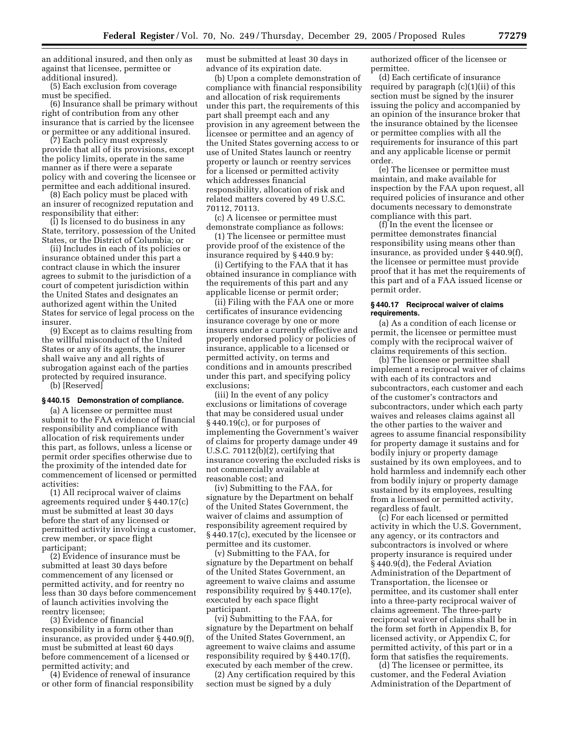an additional insured, and then only as against that licensee, permittee or additional insured).

(5) Each exclusion from coverage must be specified.

(6) Insurance shall be primary without right of contribution from any other insurance that is carried by the licensee or permittee or any additional insured.

(7) Each policy must expressly provide that all of its provisions, except the policy limits, operate in the same manner as if there were a separate policy with and covering the licensee or permittee and each additional insured.

(8) Each policy must be placed with an insurer of recognized reputation and responsibility that either:

(i) Is licensed to do business in any State, territory, possession of the United States, or the District of Columbia; or

(ii) Includes in each of its policies or insurance obtained under this part a contract clause in which the insurer agrees to submit to the jurisdiction of a court of competent jurisdiction within the United States and designates an authorized agent within the United States for service of legal process on the insurer.

(9) Except as to claims resulting from the willful misconduct of the United States or any of its agents, the insurer shall waive any and all rights of subrogation against each of the parties protected by required insurance. (b) [Reserved]

### **§ 440.15 Demonstration of compliance.**

(a) A licensee or permittee must submit to the FAA evidence of financial responsibility and compliance with allocation of risk requirements under this part, as follows, unless a license or permit order specifies otherwise due to the proximity of the intended date for commencement of licensed or permitted activities:

(1) All reciprocal waiver of claims agreements required under § 440.17(c) must be submitted at least 30 days before the start of any licensed or permitted activity involving a customer, crew member, or space flight participant;

(2) Evidence of insurance must be submitted at least 30 days before commencement of any licensed or permitted activity, and for reentry no less than 30 days before commencement of launch activities involving the reentry licensee;

(3) Evidence of financial responsibility in a form other than insurance, as provided under § 440.9(f), must be submitted at least 60 days before commencement of a licensed or permitted activity; and

(4) Evidence of renewal of insurance or other form of financial responsibility must be submitted at least 30 days in advance of its expiration date.

(b) Upon a complete demonstration of compliance with financial responsibility and allocation of risk requirements under this part, the requirements of this part shall preempt each and any provision in any agreement between the licensee or permittee and an agency of the United States governing access to or use of United States launch or reentry property or launch or reentry services for a licensed or permitted activity which addresses financial responsibility, allocation of risk and related matters covered by 49 U.S.C. 70112, 70113.

(c) A licensee or permittee must demonstrate compliance as follows:

(1) The licensee or permittee must provide proof of the existence of the insurance required by § 440.9 by:

(i) Certifying to the FAA that it has obtained insurance in compliance with the requirements of this part and any applicable license or permit order;

(ii) Filing with the FAA one or more certificates of insurance evidencing insurance coverage by one or more insurers under a currently effective and properly endorsed policy or policies of insurance, applicable to a licensed or permitted activity, on terms and conditions and in amounts prescribed under this part, and specifying policy exclusions;

(iii) In the event of any policy exclusions or limitations of coverage that may be considered usual under § 440.19(c), or for purposes of implementing the Government's waiver of claims for property damage under 49 U.S.C. 70112(b)(2), certifying that insurance covering the excluded risks is not commercially available at reasonable cost; and

(iv) Submitting to the FAA, for signature by the Department on behalf of the United States Government, the waiver of claims and assumption of responsibility agreement required by § 440.17(c), executed by the licensee or permittee and its customer.

(v) Submitting to the FAA, for signature by the Department on behalf of the United States Government, an agreement to waive claims and assume responsibility required by § 440.17(e), executed by each space flight participant.

(vi) Submitting to the FAA, for signature by the Department on behalf of the United States Government, an agreement to waive claims and assume responsibility required by § 440.17(f), executed by each member of the crew.

(2) Any certification required by this section must be signed by a duly

authorized officer of the licensee or permittee.

(d) Each certificate of insurance required by paragraph (c)(1)(ii) of this section must be signed by the insurer issuing the policy and accompanied by an opinion of the insurance broker that the insurance obtained by the licensee or permittee complies with all the requirements for insurance of this part and any applicable license or permit order.

(e) The licensee or permittee must maintain, and make available for inspection by the FAA upon request, all required policies of insurance and other documents necessary to demonstrate compliance with this part.

(f) In the event the licensee or permittee demonstrates financial responsibility using means other than insurance, as provided under § 440.9(f), the licensee or permittee must provide proof that it has met the requirements of this part and of a FAA issued license or permit order.

#### **§ 440.17 Reciprocal waiver of claims requirements.**

(a) As a condition of each license or permit, the licensee or permittee must comply with the reciprocal waiver of claims requirements of this section.

(b) The licensee or permittee shall implement a reciprocal waiver of claims with each of its contractors and subcontractors, each customer and each of the customer's contractors and subcontractors, under which each party waives and releases claims against all the other parties to the waiver and agrees to assume financial responsibility for property damage it sustains and for bodily injury or property damage sustained by its own employees, and to hold harmless and indemnify each other from bodily injury or property damage sustained by its employees, resulting from a licensed or permitted activity, regardless of fault.

(c) For each licensed or permitted activity in which the U.S. Government, any agency, or its contractors and subcontractors is involved or where property insurance is required under § 440.9(d), the Federal Aviation Administration of the Department of Transportation, the licensee or permittee, and its customer shall enter into a three-party reciprocal waiver of claims agreement. The three-party reciprocal waiver of claims shall be in the form set forth in Appendix B, for licensed activity, or Appendix C, for permitted activity, of this part or in a form that satisfies the requirements.

(d) The licensee or permittee, its customer, and the Federal Aviation Administration of the Department of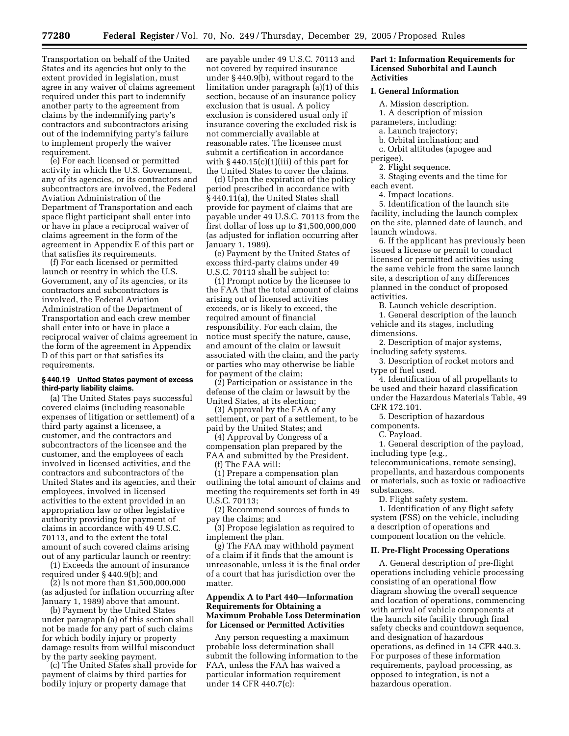Transportation on behalf of the United States and its agencies but only to the extent provided in legislation, must agree in any waiver of claims agreement required under this part to indemnify another party to the agreement from claims by the indemnifying party's contractors and subcontractors arising out of the indemnifying party's failure to implement properly the waiver requirement.

(e) For each licensed or permitted activity in which the U.S. Government, any of its agencies, or its contractors and subcontractors are involved, the Federal Aviation Administration of the Department of Transportation and each space flight participant shall enter into or have in place a reciprocal waiver of claims agreement in the form of the agreement in Appendix E of this part or that satisfies its requirements.

(f) For each licensed or permitted launch or reentry in which the U.S. Government, any of its agencies, or its contractors and subcontractors is involved, the Federal Aviation Administration of the Department of Transportation and each crew member shall enter into or have in place a reciprocal waiver of claims agreement in the form of the agreement in Appendix D of this part or that satisfies its requirements.

### **§ 440.19 United States payment of excess third-party liability claims.**

(a) The United States pays successful covered claims (including reasonable expenses of litigation or settlement) of a third party against a licensee, a customer, and the contractors and subcontractors of the licensee and the customer, and the employees of each involved in licensed activities, and the contractors and subcontractors of the United States and its agencies, and their employees, involved in licensed activities to the extent provided in an appropriation law or other legislative authority providing for payment of claims in accordance with 49 U.S.C. 70113, and to the extent the total amount of such covered claims arising out of any particular launch or reentry:

(1) Exceeds the amount of insurance required under § 440.9(b); and

(2) Is not more than \$1,500,000,000 (as adjusted for inflation occurring after January 1, 1989) above that amount.

(b) Payment by the United States under paragraph (a) of this section shall not be made for any part of such claims for which bodily injury or property damage results from willful misconduct by the party seeking payment.

(c) The United States shall provide for payment of claims by third parties for bodily injury or property damage that

are payable under 49 U.S.C. 70113 and not covered by required insurance under § 440.9(b), without regard to the limitation under paragraph (a)(1) of this section, because of an insurance policy exclusion that is usual. A policy exclusion is considered usual only if insurance covering the excluded risk is not commercially available at reasonable rates. The licensee must submit a certification in accordance with  $§$  440.15(c)(1)(iii) of this part for the United States to cover the claims.

(d) Upon the expiration of the policy period prescribed in accordance with § 440.11(a), the United States shall provide for payment of claims that are payable under 49 U.S.C. 70113 from the first dollar of loss up to \$1,500,000,000 (as adjusted for inflation occurring after January 1, 1989).

(e) Payment by the United States of excess third-party claims under 49 U.S.C. 70113 shall be subject to:

(1) Prompt notice by the licensee to the FAA that the total amount of claims arising out of licensed activities exceeds, or is likely to exceed, the required amount of financial responsibility. For each claim, the notice must specify the nature, cause, and amount of the claim or lawsuit associated with the claim, and the party or parties who may otherwise be liable for payment of the claim;

(2) Participation or assistance in the defense of the claim or lawsuit by the United States, at its election;

(3) Approval by the FAA of any settlement, or part of a settlement, to be paid by the United States; and

(4) Approval by Congress of a compensation plan prepared by the FAA and submitted by the President.

(f) The FAA will:

(1) Prepare a compensation plan outlining the total amount of claims and meeting the requirements set forth in 49 U.S.C. 70113;

(2) Recommend sources of funds to pay the claims; and

(3) Propose legislation as required to implement the plan.

(g) The FAA may withhold payment of a claim if it finds that the amount is unreasonable, unless it is the final order of a court that has jurisdiction over the matter.

### **Appendix A to Part 440—Information Requirements for Obtaining a Maximum Probable Loss Determination for Licensed or Permitted Activities**

Any person requesting a maximum probable loss determination shall submit the following information to the FAA, unless the FAA has waived a particular information requirement under 14 CFR 440.7(c):

### **Part 1: Information Requirements for Licensed Suborbital and Launch Activities**

### **I. General Information**

A. Mission description.

1. A description of mission

parameters, including:

a. Launch trajectory;

b. Orbital inclination; and

c. Orbit altitudes (apogee and

perigee).

2. Flight sequence.

3. Staging events and the time for each event.

4. Impact locations.

5. Identification of the launch site facility, including the launch complex on the site, planned date of launch, and launch windows.

6. If the applicant has previously been issued a license or permit to conduct licensed or permitted activities using the same vehicle from the same launch site, a description of any differences planned in the conduct of proposed activities.

B. Launch vehicle description. 1. General description of the launch vehicle and its stages, including

dimensions.

2. Description of major systems, including safety systems.

3. Description of rocket motors and type of fuel used.

4. Identification of all propellants to be used and their hazard classification under the Hazardous Materials Table, 49 CFR 172.101.

5. Description of hazardous

components.

C. Payload.

1. General description of the payload, including type (e.g.,

telecommunications, remote sensing), propellants, and hazardous components or materials, such as toxic or radioactive substances.

D. Flight safety system.

1. Identification of any flight safety system (FSS) on the vehicle, including a description of operations and component location on the vehicle.

#### **II. Pre-Flight Processing Operations**

A. General description of pre-flight operations including vehicle processing consisting of an operational flow diagram showing the overall sequence and location of operations, commencing with arrival of vehicle components at the launch site facility through final safety checks and countdown sequence, and designation of hazardous operations, as defined in 14 CFR 440.3. For purposes of these information requirements, payload processing, as opposed to integration, is not a hazardous operation.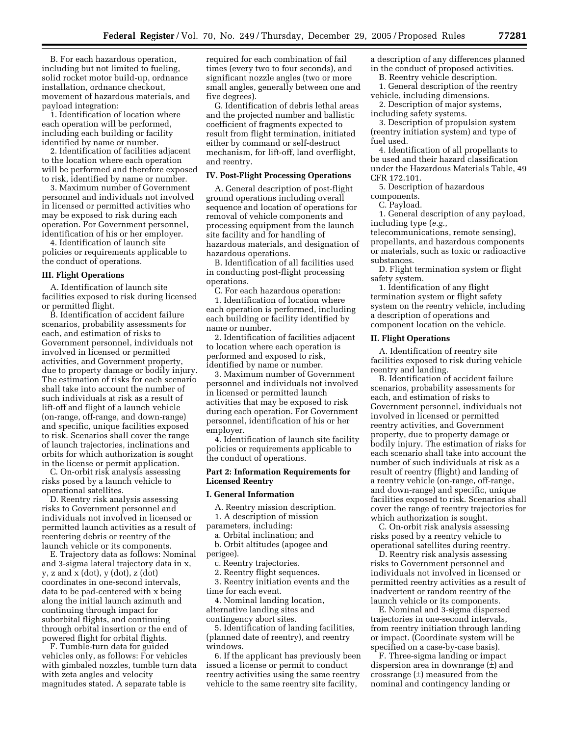B. For each hazardous operation, including but not limited to fueling, solid rocket motor build-up, ordnance installation, ordnance checkout, movement of hazardous materials, and payload integration:

1. Identification of location where each operation will be performed, including each building or facility identified by name or number.

2. Identification of facilities adjacent to the location where each operation will be performed and therefore exposed to risk, identified by name or number.

3. Maximum number of Government personnel and individuals not involved in licensed or permitted activities who may be exposed to risk during each operation. For Government personnel, identification of his or her employer.

4. Identification of launch site policies or requirements applicable to the conduct of operations.

#### **III. Flight Operations**

A. Identification of launch site facilities exposed to risk during licensed or permitted flight.

B. Identification of accident failure scenarios, probability assessments for each, and estimation of risks to Government personnel, individuals not involved in licensed or permitted activities, and Government property, due to property damage or bodily injury. The estimation of risks for each scenario shall take into account the number of such individuals at risk as a result of lift-off and flight of a launch vehicle (on-range, off-range, and down-range) and specific, unique facilities exposed to risk. Scenarios shall cover the range of launch trajectories, inclinations and orbits for which authorization is sought in the license or permit application.

C. On-orbit risk analysis assessing risks posed by a launch vehicle to operational satellites.

D. Reentry risk analysis assessing risks to Government personnel and individuals not involved in licensed or permitted launch activities as a result of reentering debris or reentry of the launch vehicle or its components.

E. Trajectory data as follows: Nominal and 3-sigma lateral trajectory data in x,  $y, z$  and  $x$  (dot),  $y$  (dot),  $z$  (dot) coordinates in one-second intervals, data to be pad-centered with x being along the initial launch azimuth and continuing through impact for suborbital flights, and continuing through orbital insertion or the end of powered flight for orbital flights.

F. Tumble-turn data for guided vehicles only, as follows: For vehicles with gimbaled nozzles, tumble turn data with zeta angles and velocity magnitudes stated. A separate table is

required for each combination of fail times (every two to four seconds), and significant nozzle angles (two or more small angles, generally between one and five degrees).

G. Identification of debris lethal areas and the projected number and ballistic coefficient of fragments expected to result from flight termination, initiated either by command or self-destruct mechanism, for lift-off, land overflight, and reentry.

#### **IV. Post-Flight Processing Operations**

A. General description of post-flight ground operations including overall sequence and location of operations for removal of vehicle components and processing equipment from the launch site facility and for handling of hazardous materials, and designation of hazardous operations.

B. Identification of all facilities used in conducting post-flight processing operations.

C. For each hazardous operation:

1. Identification of location where each operation is performed, including each building or facility identified by name or number.

2. Identification of facilities adjacent to location where each operation is performed and exposed to risk, identified by name or number.

3. Maximum number of Government personnel and individuals not involved in licensed or permitted launch activities that may be exposed to risk during each operation. For Government personnel, identification of his or her employer.

4. Identification of launch site facility policies or requirements applicable to the conduct of operations.

### **Part 2: Information Requirements for Licensed Reentry**

#### **I. General Information**

A. Reentry mission description. 1. A description of mission parameters, including:

a. Orbital inclination; and

b. Orbit altitudes (apogee and perigee).

c. Reentry trajectories.

2. Reentry flight sequences.

3. Reentry initiation events and the time for each event.

4. Nominal landing location, alternative landing sites and contingency abort sites.

5. Identification of landing facilities, (planned date of reentry), and reentry windows.

6. If the applicant has previously been issued a license or permit to conduct reentry activities using the same reentry vehicle to the same reentry site facility,

a description of any differences planned in the conduct of proposed activities.

B. Reentry vehicle description.

1. General description of the reentry vehicle, including dimensions.

2. Description of major systems, including safety systems.

3. Description of propulsion system (reentry initiation system) and type of fuel used.

4. Identification of all propellants to be used and their hazard classification under the Hazardous Materials Table, 49 CFR 172.101.

5. Description of hazardous

components.

C. Payload. 1. General description of any payload, including type (*e.g.*,

telecommunications, remote sensing), propellants, and hazardous components or materials, such as toxic or radioactive substances.

D. Flight termination system or flight safety system.

1. Identification of any flight termination system or flight safety system on the reentry vehicle, including a description of operations and component location on the vehicle.

### **II. Flight Operations**

A. Identification of reentry site facilities exposed to risk during vehicle reentry and landing.

B. Identification of accident failure scenarios, probability assessments for each, and estimation of risks to Government personnel, individuals not involved in licensed or permitted reentry activities, and Government property, due to property damage or bodily injury. The estimation of risks for each scenario shall take into account the number of such individuals at risk as a result of reentry (flight) and landing of a reentry vehicle (on-range, off-range, and down-range) and specific, unique facilities exposed to risk. Scenarios shall cover the range of reentry trajectories for which authorization is sought.

C. On-orbit risk analysis assessing risks posed by a reentry vehicle to operational satellites during reentry.

D. Reentry risk analysis assessing risks to Government personnel and individuals not involved in licensed or permitted reentry activities as a result of inadvertent or random reentry of the launch vehicle or its components.

E. Nominal and 3-sigma dispersed trajectories in one-second intervals, from reentry initiation through landing or impact. (Coordinate system will be specified on a case-by-case basis).

F. Three-sigma landing or impact dispersion area in downrange (±) and crossrange (±) measured from the nominal and contingency landing or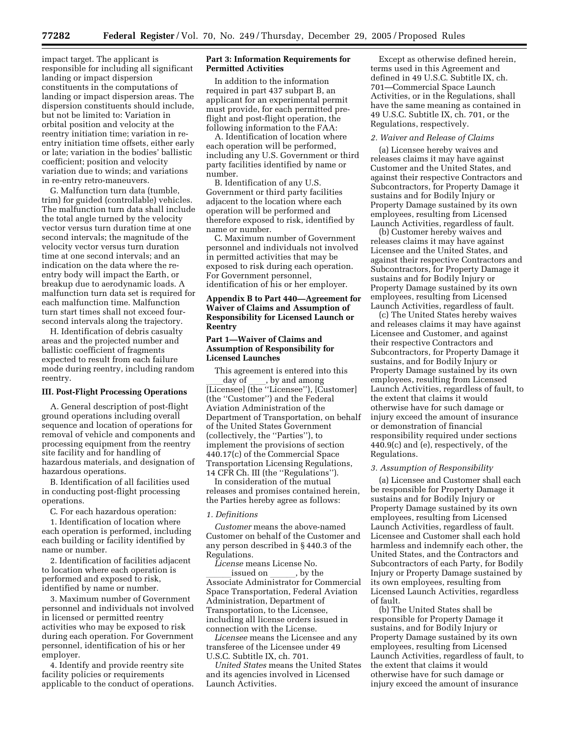impact target. The applicant is responsible for including all significant landing or impact dispersion constituents in the computations of landing or impact dispersion areas. The dispersion constituents should include, but not be limited to: Variation in orbital position and velocity at the reentry initiation time; variation in reentry initiation time offsets, either early or late; variation in the bodies' ballistic coefficient; position and velocity variation due to winds; and variations in re-entry retro-maneuvers.

G. Malfunction turn data (tumble, trim) for guided (controllable) vehicles. The malfunction turn data shall include the total angle turned by the velocity vector versus turn duration time at one second intervals; the magnitude of the velocity vector versus turn duration time at one second intervals; and an indication on the data where the reentry body will impact the Earth, or breakup due to aerodynamic loads. A malfunction turn data set is required for each malfunction time. Malfunction turn start times shall not exceed foursecond intervals along the trajectory.

H. Identification of debris casualty areas and the projected number and ballistic coefficient of fragments expected to result from each failure mode during reentry, including random reentry.

### **III. Post-Flight Processing Operations**

A. General description of post-flight ground operations including overall sequence and location of operations for removal of vehicle and components and processing equipment from the reentry site facility and for handling of hazardous materials, and designation of hazardous operations.

B. Identification of all facilities used in conducting post-flight processing operations.

C. For each hazardous operation:

1. Identification of location where each operation is performed, including each building or facility identified by name or number.

2. Identification of facilities adjacent to location where each operation is performed and exposed to risk, identified by name or number.

3. Maximum number of Government personnel and individuals not involved in licensed or permitted reentry activities who may be exposed to risk during each operation. For Government personnel, identification of his or her employer.

4. Identify and provide reentry site facility policies or requirements applicable to the conduct of operations.

### **Part 3: Information Requirements for Permitted Activities**

In addition to the information required in part 437 subpart B, an applicant for an experimental permit must provide, for each permitted preflight and post-flight operation, the following information to the FAA:

A. Identification of location where each operation will be performed, including any U.S. Government or third party facilities identified by name or number.

B. Identification of any U.S. Government or third party facilities adjacent to the location where each operation will be performed and therefore exposed to risk, identified by name or number.

C. Maximum number of Government personnel and individuals not involved in permitted activities that may be exposed to risk during each operation. For Government personnel, identification of his or her employer.

### **Appendix B to Part 440—Agreement for Waiver of Claims and Assumption of Responsibility for Licensed Launch or Reentry**

### **Part 1—Waiver of Claims and Assumption of Responsibility for Licensed Launches**

This agreement is entered into this<br>day of , by and among day of \_\_\_, by and among<br>[Licensee] (the "Licensee"), [Customer] (the ''Customer'') and the Federal Aviation Administration of the Department of Transportation, on behalf of the United States Government (collectively, the ''Parties''), to implement the provisions of section 440.17(c) of the Commercial Space Transportation Licensing Regulations, 14 CFR Ch. III (the ''Regulations'').

In consideration of the mutual releases and promises contained herein, the Parties hereby agree as follows:

### *1. Definitions*

*Customer* means the above-named Customer on behalf of the Customer and any person described in § 440.3 of the Regulations.

*License* means License No. issued on \_\_\_\_\_, by the<br>Associate Administrator for Commercial Space Transportation, Federal Aviation Administration, Department of Transportation, to the Licensee, including all license orders issued in connection with the License.

*Licensee* means the Licensee and any transferee of the Licensee under 49 U.S.C. Subtitle IX, ch. 701.

*United States* means the United States and its agencies involved in Licensed Launch Activities.

Except as otherwise defined herein, terms used in this Agreement and defined in 49 U.S.C. Subtitle IX, ch. 701—Commercial Space Launch Activities, or in the Regulations, shall have the same meaning as contained in 49 U.S.C. Subtitle IX, ch. 701, or the Regulations, respectively.

### *2. Waiver and Release of Claims*

(a) Licensee hereby waives and releases claims it may have against Customer and the United States, and against their respective Contractors and Subcontractors, for Property Damage it sustains and for Bodily Injury or Property Damage sustained by its own employees, resulting from Licensed Launch Activities, regardless of fault.

(b) Customer hereby waives and releases claims it may have against Licensee and the United States, and against their respective Contractors and Subcontractors, for Property Damage it sustains and for Bodily Injury or Property Damage sustained by its own employees, resulting from Licensed Launch Activities, regardless of fault.

(c) The United States hereby waives and releases claims it may have against Licensee and Customer, and against their respective Contractors and Subcontractors, for Property Damage it sustains, and for Bodily Injury or Property Damage sustained by its own employees, resulting from Licensed Launch Activities, regardless of fault, to the extent that claims it would otherwise have for such damage or injury exceed the amount of insurance or demonstration of financial responsibility required under sections 440.9(c) and (e), respectively, of the Regulations.

#### *3. Assumption of Responsibility*

(a) Licensee and Customer shall each be responsible for Property Damage it sustains and for Bodily Injury or Property Damage sustained by its own employees, resulting from Licensed Launch Activities, regardless of fault. Licensee and Customer shall each hold harmless and indemnify each other, the United States, and the Contractors and Subcontractors of each Party, for Bodily Injury or Property Damage sustained by its own employees, resulting from Licensed Launch Activities, regardless of fault.

(b) The United States shall be responsible for Property Damage it sustains, and for Bodily Injury or Property Damage sustained by its own employees, resulting from Licensed Launch Activities, regardless of fault, to the extent that claims it would otherwise have for such damage or injury exceed the amount of insurance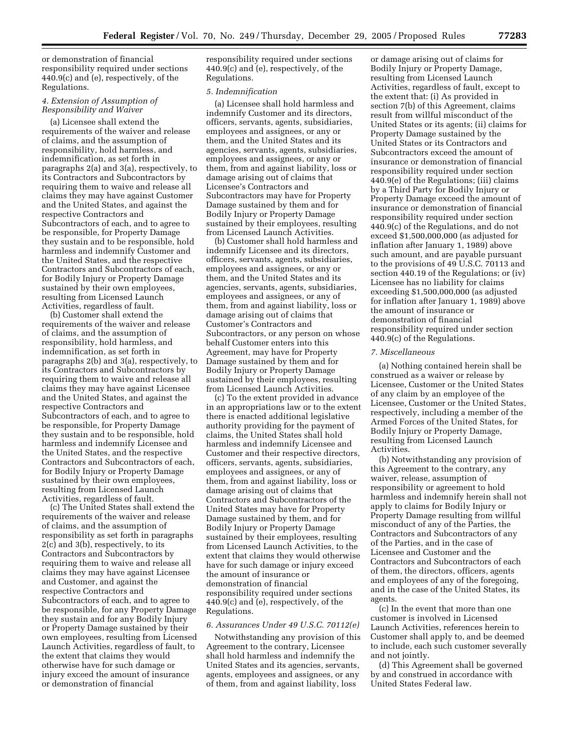or demonstration of financial responsibility required under sections 440.9(c) and (e), respectively, of the Regulations.

### *4. Extension of Assumption of Responsibility and Waiver*

(a) Licensee shall extend the requirements of the waiver and release of claims, and the assumption of responsibility, hold harmless, and indemnification, as set forth in paragraphs 2(a) and 3(a), respectively, to its Contractors and Subcontractors by requiring them to waive and release all claims they may have against Customer and the United States, and against the respective Contractors and Subcontractors of each, and to agree to be responsible, for Property Damage they sustain and to be responsible, hold harmless and indemnify Customer and the United States, and the respective Contractors and Subcontractors of each, for Bodily Injury or Property Damage sustained by their own employees, resulting from Licensed Launch Activities, regardless of fault.

(b) Customer shall extend the requirements of the waiver and release of claims, and the assumption of responsibility, hold harmless, and indemnification, as set forth in paragraphs 2(b) and 3(a), respectively, to its Contractors and Subcontractors by requiring them to waive and release all claims they may have against Licensee and the United States, and against the respective Contractors and Subcontractors of each, and to agree to be responsible, for Property Damage they sustain and to be responsible, hold harmless and indemnify Licensee and the United States, and the respective Contractors and Subcontractors of each, for Bodily Injury or Property Damage sustained by their own employees, resulting from Licensed Launch Activities, regardless of fault.

(c) The United States shall extend the requirements of the waiver and release of claims, and the assumption of responsibility as set forth in paragraphs 2(c) and 3(b), respectively, to its Contractors and Subcontractors by requiring them to waive and release all claims they may have against Licensee and Customer, and against the respective Contractors and Subcontractors of each, and to agree to be responsible, for any Property Damage they sustain and for any Bodily Injury or Property Damage sustained by their own employees, resulting from Licensed Launch Activities, regardless of fault, to the extent that claims they would otherwise have for such damage or injury exceed the amount of insurance or demonstration of financial

responsibility required under sections 440.9(c) and (e), respectively, of the Regulations.

#### *5. Indemnification*

(a) Licensee shall hold harmless and indemnify Customer and its directors, officers, servants, agents, subsidiaries, employees and assignees, or any or them, and the United States and its agencies, servants, agents, subsidiaries, employees and assignees, or any or them, from and against liability, loss or damage arising out of claims that Licensee's Contractors and Subcontractors may have for Property Damage sustained by them and for Bodily Injury or Property Damage sustained by their employees, resulting from Licensed Launch Activities.

(b) Customer shall hold harmless and indemnify Licensee and its directors, officers, servants, agents, subsidiaries, employees and assignees, or any or them, and the United States and its agencies, servants, agents, subsidiaries, employees and assignees, or any of them, from and against liability, loss or damage arising out of claims that Customer's Contractors and Subcontractors, or any person on whose behalf Customer enters into this Agreement, may have for Property Damage sustained by them and for Bodily Injury or Property Damage sustained by their employees, resulting from Licensed Launch Activities.

(c) To the extent provided in advance in an appropriations law or to the extent there is enacted additional legislative authority providing for the payment of claims, the United States shall hold harmless and indemnify Licensee and Customer and their respective directors, officers, servants, agents, subsidiaries, employees and assignees, or any of them, from and against liability, loss or damage arising out of claims that Contractors and Subcontractors of the United States may have for Property Damage sustained by them, and for Bodily Injury or Property Damage sustained by their employees, resulting from Licensed Launch Activities, to the extent that claims they would otherwise have for such damage or injury exceed the amount of insurance or demonstration of financial responsibility required under sections 440.9(c) and (e), respectively, of the Regulations.

#### *6. Assurances Under 49 U.S.C. 70112(e)*

Notwithstanding any provision of this Agreement to the contrary, Licensee shall hold harmless and indemnify the United States and its agencies, servants, agents, employees and assignees, or any of them, from and against liability, loss

or damage arising out of claims for Bodily Injury or Property Damage, resulting from Licensed Launch Activities, regardless of fault, except to the extent that: (i) As provided in section 7(b) of this Agreement, claims result from willful misconduct of the United States or its agents; (ii) claims for Property Damage sustained by the United States or its Contractors and Subcontractors exceed the amount of insurance or demonstration of financial responsibility required under section 440.9(e) of the Regulations; (iii) claims by a Third Party for Bodily Injury or Property Damage exceed the amount of insurance or demonstration of financial responsibility required under section 440.9(c) of the Regulations, and do not exceed \$1,500,000,000 (as adjusted for inflation after January 1, 1989) above such amount, and are payable pursuant to the provisions of 49 U.S.C. 70113 and section 440.19 of the Regulations; or (iv) Licensee has no liability for claims exceeding \$1,500,000,000 (as adjusted for inflation after January 1, 1989) above the amount of insurance or demonstration of financial responsibility required under section 440.9(c) of the Regulations.

### *7. Miscellaneous*

(a) Nothing contained herein shall be construed as a waiver or release by Licensee, Customer or the United States of any claim by an employee of the Licensee, Customer or the United States, respectively, including a member of the Armed Forces of the United States, for Bodily Injury or Property Damage, resulting from Licensed Launch Activities.

(b) Notwithstanding any provision of this Agreement to the contrary, any waiver, release, assumption of responsibility or agreement to hold harmless and indemnify herein shall not apply to claims for Bodily Injury or Property Damage resulting from willful misconduct of any of the Parties, the Contractors and Subcontractors of any of the Parties, and in the case of Licensee and Customer and the Contractors and Subcontractors of each of them, the directors, officers, agents and employees of any of the foregoing, and in the case of the United States, its agents.

(c) In the event that more than one customer is involved in Licensed Launch Activities, references herein to Customer shall apply to, and be deemed to include, each such customer severally and not jointly.

(d) This Agreement shall be governed by and construed in accordance with United States Federal law.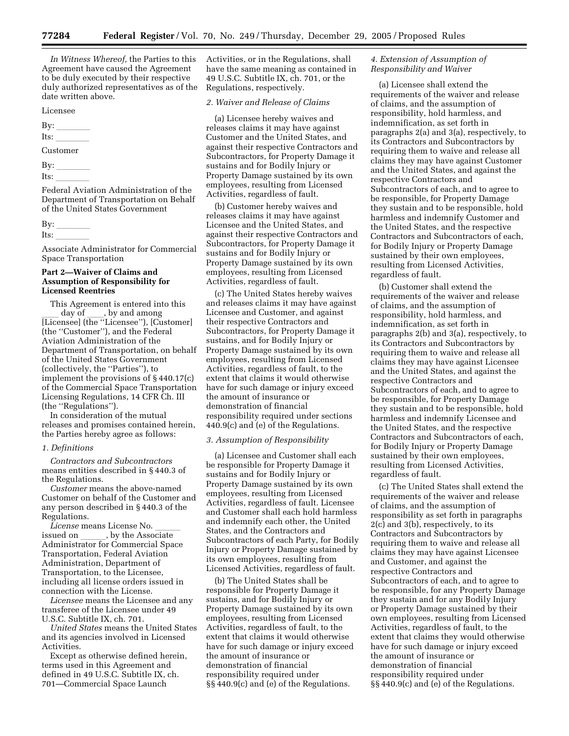*In Witness Whereof,* the Parties to this Agreement have caused the Agreement to be duly executed by their respective duly authorized representatives as of the date written above.

Licensee

### $\rm\,By:$

Its:

### Customer

- $Bv:$
- $Its:$

Federal Aviation Administration of the Department of Transportation on Behalf of the United States Government

 $By:$ 

 $Its:$ 

Associate Administrator for Commercial Space Transportation

### **Part 2—Waiver of Claims and Assumption of Responsibility for Licensed Reentries**

This Agreement is entered into this<br>day of, by and among day of \_\_\_, by and among<br>[Licensee] (the "Licensee"), [Customer] (the ''Customer''), and the Federal Aviation Administration of the Department of Transportation, on behalf of the United States Government (collectively, the ''Parties''), to implement the provisions of § 440.17(c) of the Commercial Space Transportation Licensing Regulations, 14 CFR Ch. III (the ''Regulations'').

In consideration of the mutual releases and promises contained herein, the Parties hereby agree as follows:

### *1. Definitions*

*Contractors and Subcontractors*  means entities described in § 440.3 of the Regulations.

*Customer* means the above-named Customer on behalf of the Customer and any person described in § 440.3 of the Regulations.

*License* means License No.<br>issued on \_\_\_\_\_\_\_ , by the Associate issued on \_\_\_\_\_\_, by the Associate<br>Administrator for Commercial Space Transportation, Federal Aviation Administration, Department of Transportation, to the Licensee, including all license orders issued in connection with the License.

*Licensee* means the Licensee and any transferee of the Licensee under 49 U.S.C. Subtitle IX, ch. 701.

*United States* means the United States and its agencies involved in Licensed Activities.

Except as otherwise defined herein, terms used in this Agreement and defined in 49 U.S.C. Subtitle IX, ch. 701—Commercial Space Launch

Activities, or in the Regulations, shall have the same meaning as contained in 49 U.S.C. Subtitle IX, ch. 701, or the Regulations, respectively.

#### *2. Waiver and Release of Claims*

(a) Licensee hereby waives and releases claims it may have against Customer and the United States, and against their respective Contractors and Subcontractors, for Property Damage it sustains and for Bodily Injury or Property Damage sustained by its own employees, resulting from Licensed Activities, regardless of fault.

(b) Customer hereby waives and releases claims it may have against Licensee and the United States, and against their respective Contractors and Subcontractors, for Property Damage it sustains and for Bodily Injury or Property Damage sustained by its own employees, resulting from Licensed Activities, regardless of fault.

(c) The United States hereby waives and releases claims it may have against Licensee and Customer, and against their respective Contractors and Subcontractors, for Property Damage it sustains, and for Bodily Injury or Property Damage sustained by its own employees, resulting from Licensed Activities, regardless of fault, to the extent that claims it would otherwise have for such damage or injury exceed the amount of insurance or demonstration of financial responsibility required under sections 440.9(c) and (e) of the Regulations.

### *3. Assumption of Responsibility*

(a) Licensee and Customer shall each be responsible for Property Damage it sustains and for Bodily Injury or Property Damage sustained by its own employees, resulting from Licensed Activities, regardless of fault. Licensee and Customer shall each hold harmless and indemnify each other, the United States, and the Contractors and Subcontractors of each Party, for Bodily Injury or Property Damage sustained by its own employees, resulting from Licensed Activities, regardless of fault.

(b) The United States shall be responsible for Property Damage it sustains, and for Bodily Injury or Property Damage sustained by its own employees, resulting from Licensed Activities, regardless of fault, to the extent that claims it would otherwise have for such damage or injury exceed the amount of insurance or demonstration of financial responsibility required under §§ 440.9(c) and (e) of the Regulations.

### *4. Extension of Assumption of Responsibility and Waiver*

(a) Licensee shall extend the requirements of the waiver and release of claims, and the assumption of responsibility, hold harmless, and indemnification, as set forth in paragraphs 2(a) and 3(a), respectively, to its Contractors and Subcontractors by requiring them to waive and release all claims they may have against Customer and the United States, and against the respective Contractors and Subcontractors of each, and to agree to be responsible, for Property Damage they sustain and to be responsible, hold harmless and indemnify Customer and the United States, and the respective Contractors and Subcontractors of each, for Bodily Injury or Property Damage sustained by their own employees, resulting from Licensed Activities, regardless of fault.

(b) Customer shall extend the requirements of the waiver and release of claims, and the assumption of responsibility, hold harmless, and indemnification, as set forth in paragraphs 2(b) and 3(a), respectively, to its Contractors and Subcontractors by requiring them to waive and release all claims they may have against Licensee and the United States, and against the respective Contractors and Subcontractors of each, and to agree to be responsible, for Property Damage they sustain and to be responsible, hold harmless and indemnify Licensee and the United States, and the respective Contractors and Subcontractors of each, for Bodily Injury or Property Damage sustained by their own employees, resulting from Licensed Activities, regardless of fault.

(c) The United States shall extend the requirements of the waiver and release of claims, and the assumption of responsibility as set forth in paragraphs 2(c) and 3(b), respectively, to its Contractors and Subcontractors by requiring them to waive and release all claims they may have against Licensee and Customer, and against the respective Contractors and Subcontractors of each, and to agree to be responsible, for any Property Damage they sustain and for any Bodily Injury or Property Damage sustained by their own employees, resulting from Licensed Activities, regardless of fault, to the extent that claims they would otherwise have for such damage or injury exceed the amount of insurance or demonstration of financial responsibility required under §§ 440.9(c) and (e) of the Regulations.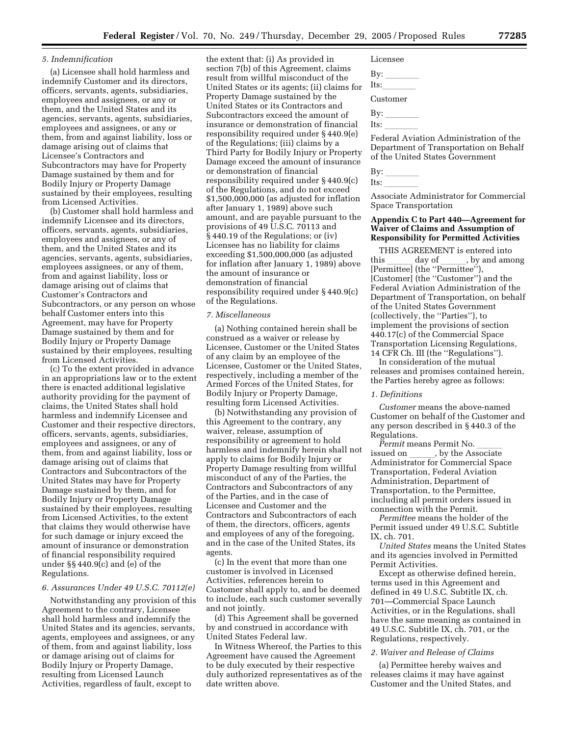### *5. Indemnification*

(a) Licensee shall hold harmless and indemnify Customer and its directors, officers, servants, agents, subsidiaries, employees and assignees, or any or them, and the United States and its agencies, servants, agents, subsidiaries, employees and assignees, or any or them, from and against liability, loss or damage arising out of claims that Licensee's Contractors and Subcontractors may have for Property Damage sustained by them and for Bodily Injury or Property Damage sustained by their employees, resulting from Licensed Activities.

(b) Customer shall hold harmless and indemnify Licensee and its directors, officers, servants, agents, subsidiaries, employees and assignees, or any of them, and the United States and its agencies, servants, agents, subsidiaries, employees assignees, or any of them, from and against liability, loss or damage arising out of claims that Customer's Contractors and Subcontractors, or any person on whose behalf Customer enters into this Agreement, may have for Property Damage sustained by them and for Bodily Injury or Property Damage sustained by their employees, resulting from Licensed Activities.

(c) To the extent provided in advance in an appropriations law or to the extent there is enacted additional legislative authority providing for the payment of claims, the United States shall hold harmless and indemnify Licensee and Customer and their respective directors, officers, servants, agents, subsidiaries, employees and assignees, or any of them, from and against liability, loss or damage arising out of claims that Contractors and Subcontractors of the United States may have for Property Damage sustained by them, and for Bodily Injury or Property Damage sustained by their employees, resulting from Licensed Activities, to the extent that claims they would otherwise have for such damage or injury exceed the amount of insurance or demonstration of financial responsibility required under §§ 440.9(c) and (e) of the Regulations.

#### *6. Assurances Under 49 U.S.C. 70112(e)*

Notwithstanding any provision of this Agreement to the contrary, Licensee shall hold harmless and indemnify the United States and its agencies, servants, agents, employees and assignees, or any of them, from and against liability, loss or damage arising out of claims for Bodily Injury or Property Damage, resulting from Licensed Launch Activities, regardless of fault, except to

the extent that: (i) As provided in section 7(b) of this Agreement, claims result from willful misconduct of the United States or its agents; (ii) claims for Property Damage sustained by the United States or its Contractors and Subcontractors exceed the amount of insurance or demonstration of financial responsibility required under § 440.9(e) of the Regulations; (iii) claims by a Third Party for Bodily Injury or Property Damage exceed the amount of insurance or demonstration of financial responsibility required under § 440.9(c) of the Regulations, and do not exceed \$1,500,000,000 (as adjusted for inflation after January 1, 1989) above such amount, and are payable pursuant to the provisions of 49 U.S.C. 70113 and § 440.19 of the Regulations; or (iv) Licensee has no liability for claims exceeding \$1,500,000,000 (as adjusted for inflation after January 1, 1989) above the amount of insurance or demonstration of financial responsibility required under § 440.9(c) of the Regulations.

### *7. Miscellaneous*

(a) Nothing contained herein shall be construed as a waiver or release by Licensee, Customer or the United States of any claim by an employee of the Licensee, Customer or the United States, respectively, including a member of the Armed Forces of the United States, for Bodily Injury or Property Damage, resulting form Licensed Activities.

(b) Notwithstanding any provision of this Agreement to the contrary, any waiver, release, assumption of responsibility or agreement to hold harmless and indemnify herein shall not apply to claims for Bodily Injury or Property Damage resulting from willful misconduct of any of the Parties, the Contractors and Subcontractors of any of the Parties, and in the case of Licensee and Customer and the Contractors and Subcontractors of each of them, the directors, officers, agents and employees of any of the foregoing, and in the case of the United States, its agents.

(c) In the event that more than one customer is involved in Licensed Activities, references herein to Customer shall apply to, and be deemed to include, each such customer severally and not jointly.

(d) This Agreement shall be governed by and construed in accordance with United States Federal law.

In Witness Whereof, the Parties to this Agreement have caused the Agreement to be duly executed by their respective duly authorized representatives as of the date written above.

Licensee  $Bv$ : Its: Customer By:<br>Its: Its:  $\frac{1}{\sqrt{1-\frac{1}{2}}}$ 

Federal Aviation Administration of the Department of Transportation on Behalf of the United States Government

 $Bv:$ 

Its:

Associate Administrator for Commercial Space Transportation

### **Appendix C to Part 440—Agreement for Waiver of Claims and Assumption of Responsibility for Permitted Activities**

THIS AGREEMENT is entered into this \_\_\_\_\_\_\_ day of \_\_\_\_\_\_, by and among [Permittee] (the ''Permittee''), [Customer] (the ''Customer'') and the Federal Aviation Administration of the Department of Transportation, on behalf of the United States Government (collectively, the ''Parties''), to implement the provisions of section 440.17(c) of the Commercial Space Transportation Licensing Regulations, 14 CFR Ch. III (the ''Regulations'').

In consideration of the mutual releases and promises contained herein, the Parties hereby agree as follows:

### *1. Definitions*

*Customer* means the above-named Customer on behalf of the Customer and any person described in § 440.3 of the Regulations.

*Permit* means Permit No.<br>issued on , by the Associate issued on \_\_\_\_\_\_, by the Associate<br>Administrator for Commercial Space Transportation, Federal Aviation Administration, Department of Transportation, to the Permittee, including all permit orders issued in connection with the Permit.

*Permittee* means the holder of the Permit issued under 49 U.S.C. Subtitle IX, ch. 701.

*United States* means the United States and its agencies involved in Permitted Permit Activities.

Except as otherwise defined herein, terms used in this Agreement and defined in 49 U.S.C. Subtitle IX, ch. 701—Commercial Space Launch Activities, or in the Regulations, shall have the same meaning as contained in 49 U.S.C. Subtitle IX, ch. 701, or the Regulations, respectively.

### *2. Waiver and Release of Claims*

(a) Permittee hereby waives and releases claims it may have against Customer and the United States, and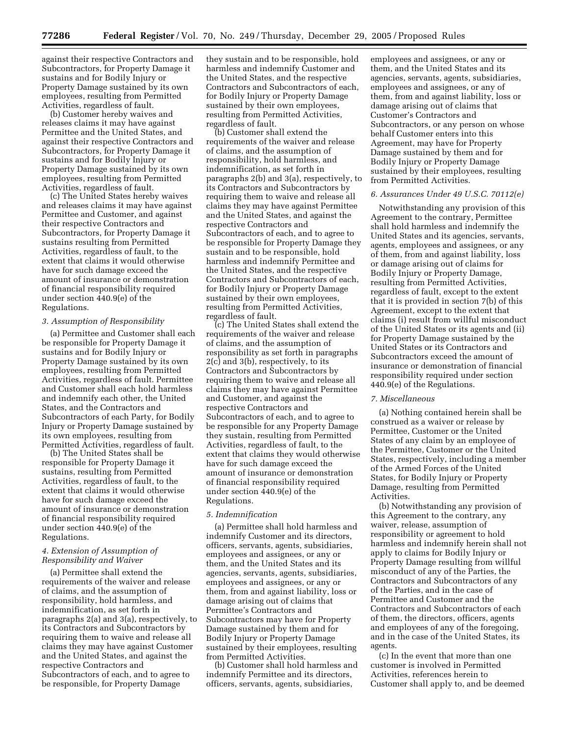against their respective Contractors and Subcontractors, for Property Damage it sustains and for Bodily Injury or Property Damage sustained by its own employees, resulting from Permitted Activities, regardless of fault.

(b) Customer hereby waives and releases claims it may have against Permittee and the United States, and against their respective Contractors and Subcontractors, for Property Damage it sustains and for Bodily Injury or Property Damage sustained by its own employees, resulting from Permitted Activities, regardless of fault.

(c) The United States hereby waives and releases claims it may have against Permittee and Customer, and against their respective Contractors and Subcontractors, for Property Damage it sustains resulting from Permitted Activities, regardless of fault, to the extent that claims it would otherwise have for such damage exceed the amount of insurance or demonstration of financial responsibility required under section 440.9(e) of the Regulations.

### *3. Assumption of Responsibility*

(a) Permittee and Customer shall each be responsible for Property Damage it sustains and for Bodily Injury or Property Damage sustained by its own employees, resulting from Permitted Activities, regardless of fault. Permittee and Customer shall each hold harmless and indemnify each other, the United States, and the Contractors and Subcontractors of each Party, for Bodily Injury or Property Damage sustained by its own employees, resulting from Permitted Activities, regardless of fault.

(b) The United States shall be responsible for Property Damage it sustains, resulting from Permitted Activities, regardless of fault, to the extent that claims it would otherwise have for such damage exceed the amount of insurance or demonstration of financial responsibility required under section 440.9(e) of the Regulations.

### *4. Extension of Assumption of Responsibility and Waiver*

(a) Permittee shall extend the requirements of the waiver and release of claims, and the assumption of responsibility, hold harmless, and indemnification, as set forth in paragraphs 2(a) and 3(a), respectively, to its Contractors and Subcontractors by requiring them to waive and release all claims they may have against Customer and the United States, and against the respective Contractors and Subcontractors of each, and to agree to be responsible, for Property Damage

they sustain and to be responsible, hold harmless and indemnify Customer and the United States, and the respective Contractors and Subcontractors of each, for Bodily Injury or Property Damage sustained by their own employees, resulting from Permitted Activities, regardless of fault.

(b) Customer shall extend the requirements of the waiver and release of claims, and the assumption of responsibility, hold harmless, and indemnification, as set forth in paragraphs 2(b) and 3(a), respectively, to its Contractors and Subcontractors by requiring them to waive and release all claims they may have against Permittee and the United States, and against the respective Contractors and Subcontractors of each, and to agree to be responsible for Property Damage they sustain and to be responsible, hold harmless and indemnify Permittee and the United States, and the respective Contractors and Subcontractors of each, for Bodily Injury or Property Damage sustained by their own employees, resulting from Permitted Activities, regardless of fault.

(c) The United States shall extend the requirements of the waiver and release of claims, and the assumption of responsibility as set forth in paragraphs 2(c) and 3(b), respectively, to its Contractors and Subcontractors by requiring them to waive and release all claims they may have against Permittee and Customer, and against the respective Contractors and Subcontractors of each, and to agree to be responsible for any Property Damage they sustain, resulting from Permitted Activities, regardless of fault, to the extent that claims they would otherwise have for such damage exceed the amount of insurance or demonstration of financial responsibility required under section 440.9(e) of the Regulations.

### *5. Indemnification*

(a) Permittee shall hold harmless and indemnify Customer and its directors, officers, servants, agents, subsidiaries, employees and assignees, or any or them, and the United States and its agencies, servants, agents, subsidiaries, employees and assignees, or any or them, from and against liability, loss or damage arising out of claims that Permittee's Contractors and Subcontractors may have for Property Damage sustained by them and for Bodily Injury or Property Damage sustained by their employees, resulting from Permitted Activities.

(b) Customer shall hold harmless and indemnify Permittee and its directors, officers, servants, agents, subsidiaries,

employees and assignees, or any or them, and the United States and its agencies, servants, agents, subsidiaries, employees and assignees, or any of them, from and against liability, loss or damage arising out of claims that Customer's Contractors and Subcontractors, or any person on whose behalf Customer enters into this Agreement, may have for Property Damage sustained by them and for Bodily Injury or Property Damage sustained by their employees, resulting from Permitted Activities.

### *6. Assurances Under 49 U.S.C. 70112(e)*

Notwithstanding any provision of this Agreement to the contrary, Permittee shall hold harmless and indemnify the United States and its agencies, servants, agents, employees and assignees, or any of them, from and against liability, loss or damage arising out of claims for Bodily Injury or Property Damage, resulting from Permitted Activities, regardless of fault, except to the extent that it is provided in section 7(b) of this Agreement, except to the extent that claims (i) result from willful misconduct of the United States or its agents and (ii) for Property Damage sustained by the United States or its Contractors and Subcontractors exceed the amount of insurance or demonstration of financial responsibility required under section 440.9(e) of the Regulations.

### *7. Miscellaneous*

(a) Nothing contained herein shall be construed as a waiver or release by Permittee, Customer or the United States of any claim by an employee of the Permittee, Customer or the United States, respectively, including a member of the Armed Forces of the United States, for Bodily Injury or Property Damage, resulting from Permitted Activities.

(b) Notwithstanding any provision of this Agreement to the contrary, any waiver, release, assumption of responsibility or agreement to hold harmless and indemnify herein shall not apply to claims for Bodily Injury or Property Damage resulting from willful misconduct of any of the Parties, the Contractors and Subcontractors of any of the Parties, and in the case of Permittee and Customer and the Contractors and Subcontractors of each of them, the directors, officers, agents and employees of any of the foregoing, and in the case of the United States, its agents.

(c) In the event that more than one customer is involved in Permitted Activities, references herein to Customer shall apply to, and be deemed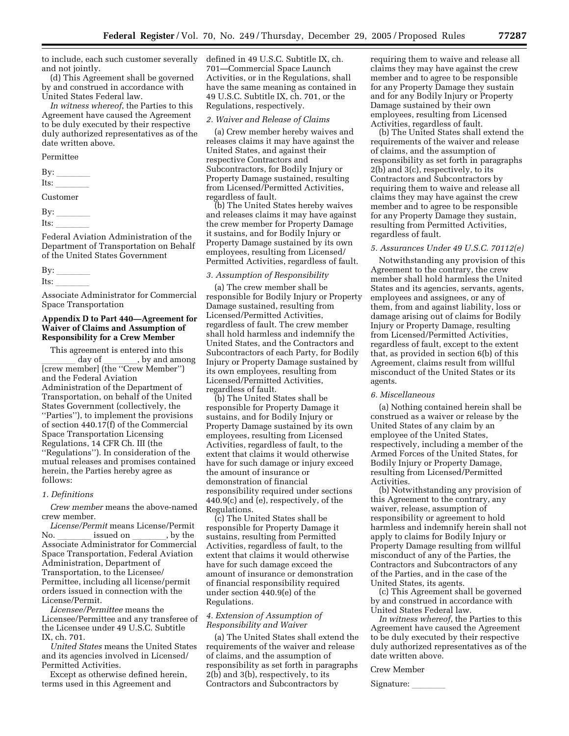to include, each such customer severally and not jointly.

(d) This Agreement shall be governed by and construed in accordance with United States Federal law.

*In witness whereof*, the Parties to this Agreement have caused the Agreement to be duly executed by their respective duly authorized representatives as of the date written above.

Permittee

By:  $\_\_$ 

Its:  $\_\_$ 

Customer

```
Bv:
```
Its:

Federal Aviation Administration of the Department of Transportation on Behalf of the United States Government

 $Bv:$ 

Its:

Associate Administrator for Commercial Space Transportation

### **Appendix D to Part 440—Agreement for Waiver of Claims and Assumption of Responsibility for a Crew Member**

This agreement is entered into this<br>day of \_\_\_\_\_\_\_, by and among day of \_\_\_\_\_\_, by and among<br>[crew member] (the ''Crew Member'') and the Federal Aviation Administration of the Department of Transportation, on behalf of the United States Government (collectively, the ''Parties''), to implement the provisions of section 440.17(f) of the Commercial Space Transportation Licensing Regulations, 14 CFR Ch. III (the ''Regulations''). In consideration of the mutual releases and promises contained herein, the Parties hereby agree as follows:

### *1. Definitions*

*Crew member* means the above-named crew member.

*License/Permit* means License/Permit<br>No. \_\_\_\_\_\_\_\_\_ issued on \_\_\_\_\_\_\_\_, by the No. \_\_\_\_\_\_\_\_ issued on \_\_\_\_\_\_\_\_, by the<br>Associate Administrator for Commercial Space Transportation, Federal Aviation Administration, Department of Transportation, to the Licensee/ Permittee, including all license/permit orders issued in connection with the License/Permit.

*Licensee/Permittee* means the Licensee/Permittee and any transferee of the Licensee under 49 U.S.C. Subtitle IX, ch. 701.

*United States* means the United States and its agencies involved in Licensed/ Permitted Activities.

Except as otherwise defined herein, terms used in this Agreement and

defined in 49 U.S.C. Subtitle IX, ch. 701—Commercial Space Launch Activities, or in the Regulations, shall have the same meaning as contained in 49 U.S.C. Subtitle IX, ch. 701, or the Regulations, respectively.

#### *2. Waiver and Release of Claims*

(a) Crew member hereby waives and releases claims it may have against the United States, and against their respective Contractors and Subcontractors, for Bodily Injury or Property Damage sustained, resulting from Licensed/Permitted Activities, regardless of fault.

(b) The United States hereby waives and releases claims it may have against the crew member for Property Damage it sustains, and for Bodily Injury or Property Damage sustained by its own employees, resulting from Licensed/ Permitted Activities, regardless of fault.

### *3. Assumption of Responsibility*

(a) The crew member shall be responsible for Bodily Injury or Property Damage sustained, resulting from Licensed/Permitted Activities, regardless of fault. The crew member shall hold harmless and indemnify the United States, and the Contractors and Subcontractors of each Party, for Bodily Injury or Property Damage sustained by its own employees, resulting from Licensed/Permitted Activities, regardless of fault.

(b) The United States shall be responsible for Property Damage it sustains, and for Bodily Injury or Property Damage sustained by its own employees, resulting from Licensed Activities, regardless of fault, to the extent that claims it would otherwise have for such damage or injury exceed the amount of insurance or demonstration of financial responsibility required under sections 440.9(c) and (e), respectively, of the Regulations.

(c) The United States shall be responsible for Property Damage it sustains, resulting from Permitted Activities, regardless of fault, to the extent that claims it would otherwise have for such damage exceed the amount of insurance or demonstration of financial responsibility required under section 440.9(e) of the Regulations.

### *4. Extension of Assumption of Responsibility and Waiver*

(a) The United States shall extend the requirements of the waiver and release of claims, and the assumption of responsibility as set forth in paragraphs 2(b) and 3(b), respectively, to its Contractors and Subcontractors by

requiring them to waive and release all claims they may have against the crew member and to agree to be responsible for any Property Damage they sustain and for any Bodily Injury or Property Damage sustained by their own employees, resulting from Licensed Activities, regardless of fault.

(b) The United States shall extend the requirements of the waiver and release of claims, and the assumption of responsibility as set forth in paragraphs 2(b) and 3(c), respectively, to its Contractors and Subcontractors by requiring them to waive and release all claims they may have against the crew member and to agree to be responsible for any Property Damage they sustain, resulting from Permitted Activities, regardless of fault.

### *5. Assurances Under 49 U.S.C. 70112(e)*

Notwithstanding any provision of this Agreement to the contrary, the crew member shall hold harmless the United States and its agencies, servants, agents, employees and assignees, or any of them, from and against liability, loss or damage arising out of claims for Bodily Injury or Property Damage, resulting from Licensed/Permitted Activities, regardless of fault, except to the extent that, as provided in section 6(b) of this Agreement, claims result from willful misconduct of the United States or its agents.

### *6. Miscellaneous*

(a) Nothing contained herein shall be construed as a waiver or release by the United States of any claim by an employee of the United States, respectively, including a member of the Armed Forces of the United States, for Bodily Injury or Property Damage, resulting from Licensed/Permitted Activities.

(b) Notwithstanding any provision of this Agreement to the contrary, any waiver, release, assumption of responsibility or agreement to hold harmless and indemnify herein shall not apply to claims for Bodily Injury or Property Damage resulting from willful misconduct of any of the Parties, the Contractors and Subcontractors of any of the Parties, and in the case of the United States, its agents.

(c) This Agreement shall be governed by and construed in accordance with United States Federal law.

*In witness whereof*, the Parties to this Agreement have caused the Agreement to be duly executed by their respective duly authorized representatives as of the date written above.

### Crew Member

Signature: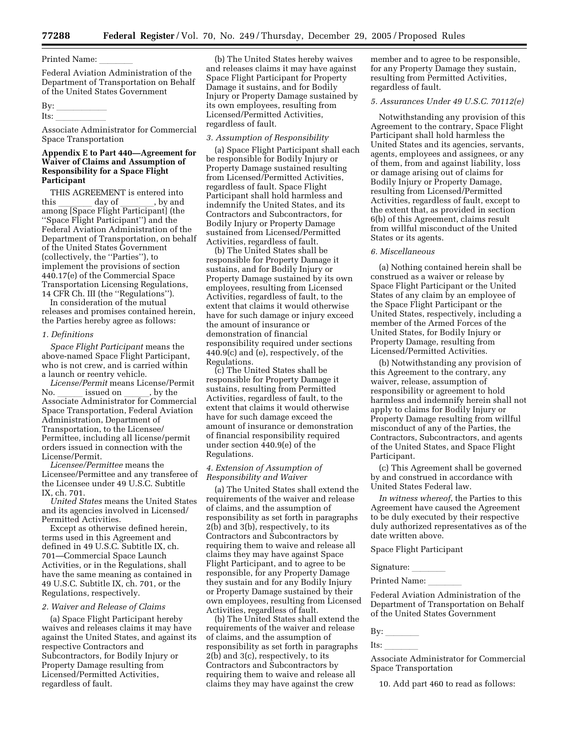#### Printed Name:

Federal Aviation Administration of the Department of Transportation on Behalf of the United States Government

# By:<br>Its:

## Its:  $\frac{1}{\sqrt{1-\frac{1}{2}} \cdot \frac{1}{2} \cdot \frac{1}{2} \cdot \frac{1}{2} \cdot \frac{1}{2} \cdot \frac{1}{2} \cdot \frac{1}{2} \cdot \frac{1}{2} \cdot \frac{1}{2} \cdot \frac{1}{2} \cdot \frac{1}{2} \cdot \frac{1}{2} \cdot \frac{1}{2} \cdot \frac{1}{2} \cdot \frac{1}{2} \cdot \frac{1}{2} \cdot \frac{1}{2} \cdot \frac{1}{2} \cdot \frac{1}{2} \cdot \frac{1}{2} \cdot \frac{1}{2} \cdot \frac{1}{2} \cdot \frac{1}{2} \$

Associate Administrator for Commercial Space Transportation

### **Appendix E to Part 440—Agreement for Waiver of Claims and Assumption of Responsibility for a Space Flight Participant**

THIS AGREEMENT is entered into<br>is \_\_\_\_\_\_\_\_ day of \_\_\_\_\_\_\_, by and this \_\_\_\_\_\_\_\_ day of \_\_\_\_\_\_\_, by and<br>among [Space Flight Participant] (the ''Space Flight Participant'') and the Federal Aviation Administration of the Department of Transportation, on behalf of the United States Government (collectively, the ''Parties''), to implement the provisions of section 440.17(e) of the Commercial Space Transportation Licensing Regulations, 14 CFR Ch. III (the ''Regulations'').

In consideration of the mutual releases and promises contained herein, the Parties hereby agree as follows:

#### *1. Definitions*

*Space Flight Participant* means the above-named Space Flight Participant, who is not crew, and is carried within a launch or reentry vehicle.

*License/Permit* means License/Permit No. \_\_\_\_\_\_ issued on \_\_\_\_\_, by the<br>Associate Administrator for Commercial Space Transportation, Federal Aviation Administration, Department of Transportation, to the Licensee/ Permittee, including all license/permit orders issued in connection with the License/Permit.

*Licensee/Permittee* means the Licensee/Permittee and any transferee of the Licensee under 49 U.S.C. Subtitle IX, ch. 701.

*United States* means the United States and its agencies involved in Licensed/ Permitted Activities.

Except as otherwise defined herein, terms used in this Agreement and defined in 49 U.S.C. Subtitle IX, ch. 701—Commercial Space Launch Activities, or in the Regulations, shall have the same meaning as contained in 49 U.S.C. Subtitle IX, ch. 701, or the Regulations, respectively.

### *2. Waiver and Release of Claims*

(a) Space Flight Participant hereby waives and releases claims it may have against the United States, and against its respective Contractors and Subcontractors, for Bodily Injury or Property Damage resulting from Licensed/Permitted Activities, regardless of fault.

(b) The United States hereby waives and releases claims it may have against Space Flight Participant for Property Damage it sustains, and for Bodily Injury or Property Damage sustained by its own employees, resulting from Licensed/Permitted Activities, regardless of fault.

### *3. Assumption of Responsibility*

(a) Space Flight Participant shall each be responsible for Bodily Injury or Property Damage sustained resulting from Licensed/Permitted Activities, regardless of fault. Space Flight Participant shall hold harmless and indemnify the United States, and its Contractors and Subcontractors, for Bodily Injury or Property Damage sustained from Licensed/Permitted Activities, regardless of fault.

(b) The United States shall be responsible for Property Damage it sustains, and for Bodily Injury or Property Damage sustained by its own employees, resulting from Licensed Activities, regardless of fault, to the extent that claims it would otherwise have for such damage or injury exceed the amount of insurance or demonstration of financial responsibility required under sections 440.9(c) and (e), respectively, of the Regulations.

(c) The United States shall be responsible for Property Damage it sustains, resulting from Permitted Activities, regardless of fault, to the extent that claims it would otherwise have for such damage exceed the amount of insurance or demonstration of financial responsibility required under section 440.9(e) of the Regulations.

### *4. Extension of Assumption of Responsibility and Waiver*

(a) The United States shall extend the requirements of the waiver and release of claims, and the assumption of responsibility as set forth in paragraphs 2(b) and 3(b), respectively, to its Contractors and Subcontractors by requiring them to waive and release all claims they may have against Space Flight Participant, and to agree to be responsible, for any Property Damage they sustain and for any Bodily Injury or Property Damage sustained by their own employees, resulting from Licensed Activities, regardless of fault.

(b) The United States shall extend the requirements of the waiver and release of claims, and the assumption of responsibility as set forth in paragraphs 2(b) and 3(c), respectively, to its Contractors and Subcontractors by requiring them to waive and release all claims they may have against the crew

member and to agree to be responsible, for any Property Damage they sustain, resulting from Permitted Activities, regardless of fault.

### *5. Assurances Under 49 U.S.C. 70112(e)*

Notwithstanding any provision of this Agreement to the contrary, Space Flight Participant shall hold harmless the United States and its agencies, servants, agents, employees and assignees, or any of them, from and against liability, loss or damage arising out of claims for Bodily Injury or Property Damage, resulting from Licensed/Permitted Activities, regardless of fault, except to the extent that, as provided in section 6(b) of this Agreement, claims result from willful misconduct of the United States or its agents.

### *6. Miscellaneous*

(a) Nothing contained herein shall be construed as a waiver or release by Space Flight Participant or the United States of any claim by an employee of the Space Flight Participant or the United States, respectively, including a member of the Armed Forces of the United States, for Bodily Injury or Property Damage, resulting from Licensed/Permitted Activities.

(b) Notwithstanding any provision of this Agreement to the contrary, any waiver, release, assumption of responsibility or agreement to hold harmless and indemnify herein shall not apply to claims for Bodily Injury or Property Damage resulting from willful misconduct of any of the Parties, the Contractors, Subcontractors, and agents of the United States, and Space Flight Participant.

(c) This Agreement shall be governed by and construed in accordance with United States Federal law.

*In witness whereof*, the Parties to this Agreement have caused the Agreement to be duly executed by their respective duly authorized representatives as of the date written above.

Space Flight Participant

### Signature:

### Printed Name:

Federal Aviation Administration of the Department of Transportation on Behalf of the United States Government

 $\frac{\text{By:}}{\text{Its:}}$ 

Its: llll

Associate Administrator for Commercial Space Transportation

10. Add part 460 to read as follows: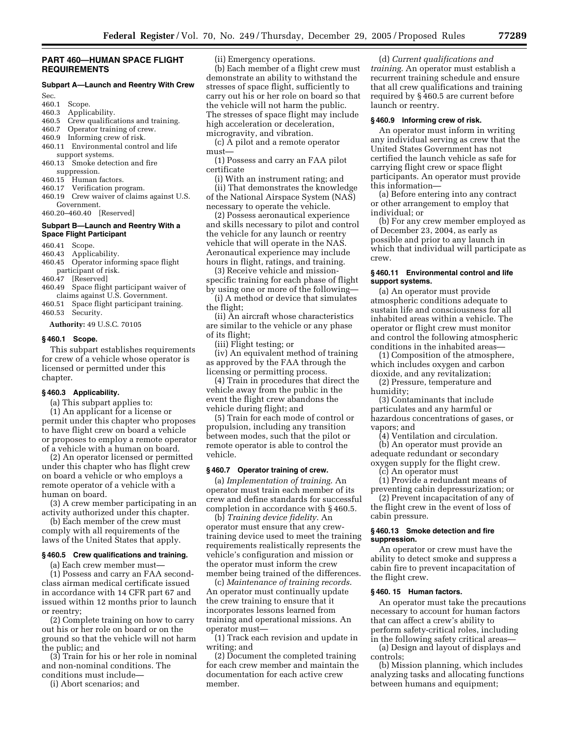### **PART 460—HUMAN SPACE FLIGHT REQUIREMENTS**

#### **Subpart A—Launch and Reentry With Crew**

- Sec.<br>460.1 460.1 Scope.<br>460.3 Applic
- 460.3 Applicability.<br>460.5 Crew qualifica
- 460.5 Crew qualifications and training.<br>460.7 Operator training of crew.
- 460.7 Operator training of crew.<br>460.9 Informing crew of risk
- Informing crew of risk.
- 460.11 Environmental control and life support systems.
- 460.13 Smoke detection and fire suppression.
- 460.15 Human factors.
- 460.17 Verification program.
- 460.19 Crew waiver of claims against U.S. Government.
- 460.20–460.40 [Reserved]

### **Subpart B—Launch and Reentry With a Space Flight Participant**

- 460.41 Scope.
- 460.43 Applicability.
- 460.45 Operator informing space flight participant of risk.
- 460.47 [Reserved]
- 460.49 Space flight participant waiver of claims against U.S. Government.
- 460.51 Space flight participant training.
- 460.53 Security.

**Authority:** 49 U.S.C. 70105

#### **§ 460.1 Scope.**

This subpart establishes requirements for crew of a vehicle whose operator is licensed or permitted under this chapter.

### **§ 460.3 Applicability.**

(a) This subpart applies to:

(1) An applicant for a license or permit under this chapter who proposes to have flight crew on board a vehicle or proposes to employ a remote operator of a vehicle with a human on board.

(2) An operator licensed or permitted under this chapter who has flight crew on board a vehicle or who employs a remote operator of a vehicle with a human on board.

(3) A crew member participating in an activity authorized under this chapter.

(b) Each member of the crew must comply with all requirements of the laws of the United States that apply.

### **§ 460.5 Crew qualifications and training.**

(a) Each crew member must— (1) Possess and carry an FAA secondclass airman medical certificate issued in accordance with 14 CFR part 67 and issued within 12 months prior to launch or reentry;

(2) Complete training on how to carry out his or her role on board or on the ground so that the vehicle will not harm the public; and

(3) Train for his or her role in nominal and non-nominal conditions. The conditions must include—

(i) Abort scenarios; and

(ii) Emergency operations. (b) Each member of a flight crew must demonstrate an ability to withstand the stresses of space flight, sufficiently to carry out his or her role on board so that the vehicle will not harm the public. The stresses of space flight may include high acceleration or deceleration, microgravity, and vibration.

(c) A pilot and a remote operator must—

(1) Possess and carry an FAA pilot certificate

(i) With an instrument rating; and (ii) That demonstrates the knowledge of the National Airspace System (NAS) necessary to operate the vehicle.

(2) Possess aeronautical experience and skills necessary to pilot and control the vehicle for any launch or reentry vehicle that will operate in the NAS. Aeronautical experience may include hours in flight, ratings, and training.

(3) Receive vehicle and missionspecific training for each phase of flight by using one or more of the following— (i) A method or device that simulates

the flight; (ii) An aircraft whose characteristics

are similar to the vehicle or any phase of its flight;

(iii) Flight testing; or

(iv) An equivalent method of training as approved by the FAA through the licensing or permitting process.

(4) Train in procedures that direct the vehicle away from the public in the event the flight crew abandons the vehicle during flight; and

(5) Train for each mode of control or propulsion, including any transition between modes, such that the pilot or remote operator is able to control the vehicle.

#### **§ 460.7 Operator training of crew.**

(a) *Implementation of training*. An operator must train each member of its crew and define standards for successful completion in accordance with § 460.5.

(b) *Training device fidelity*. An operator must ensure that any crewtraining device used to meet the training requirements realistically represents the vehicle's configuration and mission or the operator must inform the crew member being trained of the differences.

(c) *Maintenance of training records*. An operator must continually update the crew training to ensure that it incorporates lessons learned from training and operational missions. An operator must—

(1) Track each revision and update in writing; and

(2) Document the completed training for each crew member and maintain the documentation for each active crew member.

(d) *Current qualifications and training*. An operator must establish a recurrent training schedule and ensure that all crew qualifications and training required by § 460.5 are current before launch or reentry.

#### **§ 460.9 Informing crew of risk.**

An operator must inform in writing any individual serving as crew that the United States Government has not certified the launch vehicle as safe for carrying flight crew or space flight participants. An operator must provide this information—

(a) Before entering into any contract or other arrangement to employ that individual; or

(b) For any crew member employed as of December 23, 2004, as early as possible and prior to any launch in which that individual will participate as crew.

### **§ 460.11 Environmental control and life support systems.**

(a) An operator must provide atmospheric conditions adequate to sustain life and consciousness for all inhabited areas within a vehicle. The operator or flight crew must monitor and control the following atmospheric conditions in the inhabited areas—

(1) Composition of the atmosphere, which includes oxygen and carbon dioxide, and any revitalization;

(2) Pressure, temperature and humidity;

(3) Contaminants that include particulates and any harmful or hazardous concentrations of gases, or vapors; and

(4) Ventilation and circulation.

(b) An operator must provide an adequate redundant or secondary oxygen supply for the flight crew.

(c) An operator must

(1) Provide a redundant means of preventing cabin depressurization; or

(2) Prevent incapacitation of any of the flight crew in the event of loss of cabin pressure.

#### **§ 460.13 Smoke detection and fire suppression.**

An operator or crew must have the ability to detect smoke and suppress a cabin fire to prevent incapacitation of the flight crew.

### **§ 460. 15 Human factors.**

An operator must take the precautions necessary to account for human factors that can affect a crew's ability to perform safety-critical roles, including in the following safety critical areas—

(a) Design and layout of displays and controls;

(b) Mission planning, which includes analyzing tasks and allocating functions between humans and equipment;